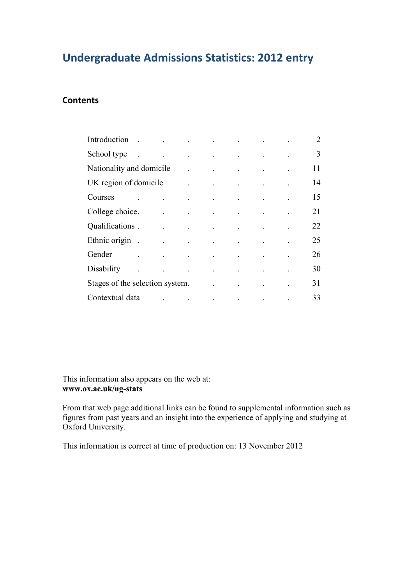## **Undergraduate Admissions Statistics: 2012 entry**

### **Contents**

| Introduction.                   | the contract of the contract of the contract of the                                                                                                                                                                                       |                                                                                                                                                                                                                                                                                                                                                                                                                                                           |  | 2  |
|---------------------------------|-------------------------------------------------------------------------------------------------------------------------------------------------------------------------------------------------------------------------------------------|-----------------------------------------------------------------------------------------------------------------------------------------------------------------------------------------------------------------------------------------------------------------------------------------------------------------------------------------------------------------------------------------------------------------------------------------------------------|--|----|
| School type                     |                                                                                                                                                                                                                                           | $\mathcal{L}(\mathcal{A})$ and $\mathcal{L}(\mathcal{A})$ are the set of the set of the set of $\mathcal{A}$                                                                                                                                                                                                                                                                                                                                              |  | 3  |
| Nationality and domicile        |                                                                                                                                                                                                                                           | $\mathcal{L}^{\mathcal{L}}(\mathcal{L}^{\mathcal{L}}(\mathcal{L}^{\mathcal{L}}(\mathcal{L}^{\mathcal{L}}(\mathcal{L}^{\mathcal{L}}(\mathcal{L}^{\mathcal{L}}(\mathcal{L}^{\mathcal{L}}(\mathcal{L}^{\mathcal{L}}(\mathcal{L}^{\mathcal{L}}(\mathcal{L}^{\mathcal{L}}(\mathcal{L}^{\mathcal{L}}(\mathcal{L}^{\mathcal{L}}(\mathcal{L}^{\mathcal{L}}(\mathcal{L}^{\mathcal{L}}(\mathcal{L}^{\mathcal{L}}(\mathcal{L}^{\mathcal{L}}(\mathcal{L}^{\mathcal{L$ |  | 11 |
| UK region of domicile           |                                                                                                                                                                                                                                           | $\mathcal{L}^{\mathcal{A}}$ and $\mathcal{L}^{\mathcal{A}}$ are the set of the set of the set of the $\mathcal{L}^{\mathcal{A}}$                                                                                                                                                                                                                                                                                                                          |  | 14 |
| Courses                         |                                                                                                                                                                                                                                           | $\mathcal{L}^{\mathcal{A}}$ and $\mathcal{L}^{\mathcal{A}}$ are the set of the set of the set of the set of the set of the set of the set of the set of the set of the set of the set of the set of the set of the set of the set of the set of the s                                                                                                                                                                                                     |  | 15 |
| College choice.                 |                                                                                                                                                                                                                                           | and the control of the control of the                                                                                                                                                                                                                                                                                                                                                                                                                     |  | 21 |
| Qualifications.                 | $\mathcal{L}^{\mathcal{A}}$ . The contract of the contract of the contract of the contract of the contract of the contract of the contract of the contract of the contract of the contract of the contract of the contract of the contrac |                                                                                                                                                                                                                                                                                                                                                                                                                                                           |  | 22 |
| Ethnic origin.                  | the contract of the contract of the contract of                                                                                                                                                                                           |                                                                                                                                                                                                                                                                                                                                                                                                                                                           |  | 25 |
| Gender                          |                                                                                                                                                                                                                                           | $\mathcal{L}^{\mathcal{A}}$ and $\mathcal{L}^{\mathcal{A}}$ are the set of the set of the set of the set of $\mathcal{A}$                                                                                                                                                                                                                                                                                                                                 |  | 26 |
| Disability                      | $\mathbb{Z}^2$                                                                                                                                                                                                                            | the contract of the contract of the contract of                                                                                                                                                                                                                                                                                                                                                                                                           |  | 30 |
| Stages of the selection system. |                                                                                                                                                                                                                                           |                                                                                                                                                                                                                                                                                                                                                                                                                                                           |  | 31 |
| Contextual data                 | $\mathcal{L}^{\mathcal{A}}$ . The contribution of the contribution of the contribution of the contribution of the contribution of the contribution of the contribution of the contribution of the contribution of the contribution of the |                                                                                                                                                                                                                                                                                                                                                                                                                                                           |  | 33 |

This information also appears on the web at: **www.ox.ac.uk/ug-stats**

From that web page additional links can be found to supplemental information such as figures from past years and an insight into the experience of applying and studying at Oxford University.

This information is correct at time of production on: 13 November 2012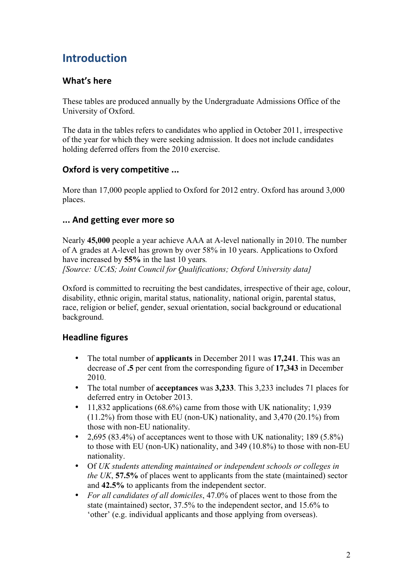# **Introduction**

### **What's here**

These tables are produced annually by the Undergraduate Admissions Office of the University of Oxford.

The data in the tables refers to candidates who applied in October 2011, irrespective of the year for which they were seeking admission. It does not include candidates holding deferred offers from the 2010 exercise.

### **Oxford is very competitive ...**

More than 17,000 people applied to Oxford for 2012 entry. Oxford has around 3,000 places.

### **...!And!getting!ever!more!so**

Nearly **45,000** people a year achieve AAA at A-level nationally in 2010. The number of A grades at A-level has grown by over 58% in 10 years. Applications to Oxford have increased by **55%** in the last 10 years*.*

*[Source: UCAS; Joint Council for Qualifications; Oxford University data]*

Oxford is committed to recruiting the best candidates, irrespective of their age, colour, disability, ethnic origin, marital status, nationality, national origin, parental status, race, religion or belief, gender, sexual orientation, social background or educational background.

### **Headline figures**

- The total number of **applicants** in December 2011 was **17,241**. This was an decrease of **.5** per cent from the corresponding figure of **17,343** in December 2010.
- The total number of **acceptances** was **3,233**. This 3,233 includes 71 places for deferred entry in October 2013.
- 11,832 applications (68.6%) came from those with UK nationality; 1,939  $(11.2\%)$  from those with EU (non-UK) nationality, and 3,470 (20.1%) from those with non-EU nationality.
- 2,695 (83.4%) of acceptances went to those with UK nationality; 189 (5.8%) to those with EU (non-UK) nationality, and 349 (10.8%) to those with non-EU nationality.
- Of *UK students attending maintained or independent schools or colleges in the UK*, **57.5%** of places went to applicants from the state (maintained) sector and **42.5%** to applicants from the independent sector.
- *For all candidates of all domiciles*, 47.0% of places went to those from the state (maintained) sector, 37.5% to the independent sector, and 15.6% to 'other' (e.g. individual applicants and those applying from overseas).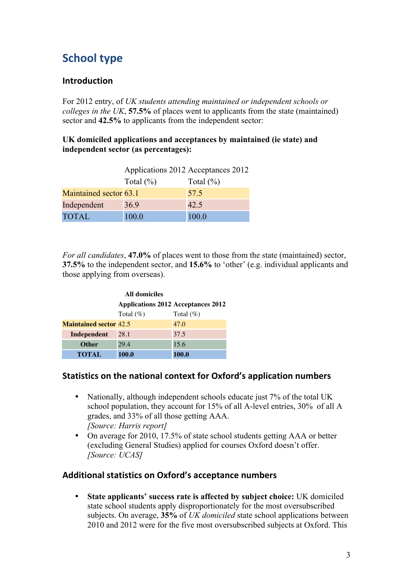# **School type**

### **Introduction**

For 2012 entry, of *UK students attending maintained or independent schools or colleges in the UK*, **57.5%** of places went to applicants from the state (maintained) sector and **42.5%** to applicants from the independent sector:

### **UK domiciled applications and acceptances by maintained (ie state) and independent sector (as percentages):**

|                        | Applications 2012 Acceptances 2012 |               |
|------------------------|------------------------------------|---------------|
|                        | Total $(\% )$                      | Total $(\% )$ |
| Maintained sector 63.1 |                                    | 57.5          |
| Independent            | 36.9                               | 42.5          |
| <b>TOTAL</b>           | 100.0                              | 100.0         |

*For all candidates*, **47.0%** of places went to those from the state (maintained) sector, **37.5%** to the independent sector, and **15.6%** to 'other' (e.g. individual applicants and those applying from overseas).

| <b>All domiciles</b>          |                                           |              |  |  |  |  |  |  |
|-------------------------------|-------------------------------------------|--------------|--|--|--|--|--|--|
|                               | <b>Applications 2012 Acceptances 2012</b> |              |  |  |  |  |  |  |
|                               | Total $(\%)$                              | Total $(\%)$ |  |  |  |  |  |  |
| <b>Maintained sector 42.5</b> |                                           | 47.0         |  |  |  |  |  |  |
| Independent                   | 28.1                                      | 37.5         |  |  |  |  |  |  |
| <b>Other</b>                  | 29.4                                      | 15.6         |  |  |  |  |  |  |
| <b>TOTAL</b>                  | 100.0                                     | 100.0        |  |  |  |  |  |  |

### **Statistics on the national context for Oxford's application numbers**

- Nationally, although independent schools educate just 7% of the total UK school population, they account for 15% of all A-level entries, 30% of all A grades, and 33% of all those getting AAA. *[Source: Harris report]*
- On average for 2010, 17.5% of state school students getting AAA or better (excluding General Studies) applied for courses Oxford doesn't offer. *[Source: UCAS]*

### Additional statistics on Oxford's acceptance numbers

• **State applicants' success rate is affected by subject choice:** UK domiciled state school students apply disproportionately for the most oversubscribed subjects. On average, **35%** of *UK domiciled* state school applications between 2010 and 2012 were for the five most oversubscribed subjects at Oxford. This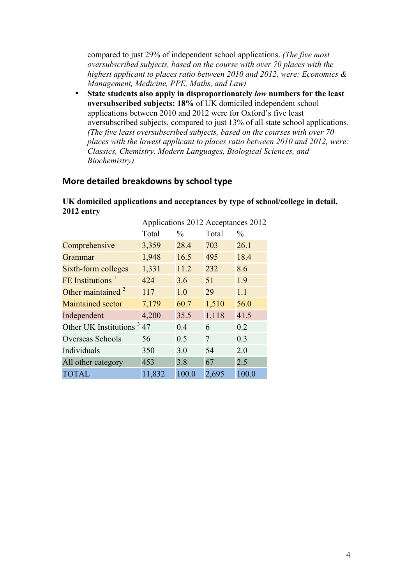compared to just 29% of independent school applications. *(The five most oversubscribed subjects, based on the course with over 70 places with the highest applicant to places ratio between 2010 and 2012, were: Economics & Management, Medicine, PPE, Maths, and Law)*

• **State students also apply in disproportionately** *low* **numbers for the least oversubscribed subjects: 18%** of UK domiciled independent school applications between 2010 and 2012 were for Oxford's five least oversubscribed subjects, compared to just 13% of all state school applications. *(The five least oversubscribed subjects, based on the courses with over 70 places with the lowest applicant to places ratio between 2010 and 2012, were: Classics, Chemistry, Modern Languages, Biological Sciences, and Biochemistry)* 

### **More detailed breakdowns by school type**

**UK domiciled applications and acceptances by type of school/college in detail, 2012 entry**

| Total                                 | $\frac{0}{0}$ | Total          | $\frac{0}{0}$                          |
|---------------------------------------|---------------|----------------|----------------------------------------|
| 3,359                                 | 28.4          | 703            | 26.1                                   |
| 1,948                                 | 16.5          | 495            | 18.4                                   |
| 1,331                                 | 11.2          | 232            | 8.6                                    |
| 424                                   | 3.6           | 51             | 1.9                                    |
| 117                                   | 1.0           | 29             | 1.1                                    |
| 7,179                                 | 60.7          | 1,510          | 56.0                                   |
| 4,200                                 | 35.5          | 1,118          | 41.5                                   |
| Other UK Institutions <sup>3</sup> 47 | 0.4           | 6              | 0.2                                    |
| 56                                    | 0.5           | $\overline{7}$ | 0.3                                    |
| 350                                   | 3.0           | 54             | 2.0                                    |
| 453                                   | 3.8           | 67             | 2.5                                    |
| 11,832                                | 100.0         | 2,695          | 100.0                                  |
|                                       |               |                | Applications $2012$ Acceptances $2012$ |

| Applications 2012 Acceptances 2012 |  |
|------------------------------------|--|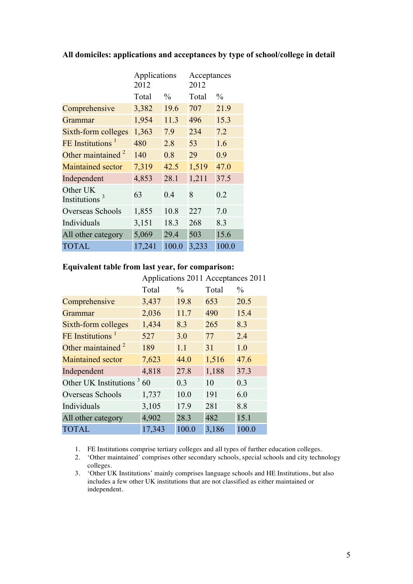|                                       | Applications<br>2012 |               | Acceptances<br>2012 |               |
|---------------------------------------|----------------------|---------------|---------------------|---------------|
|                                       | Total                | $\frac{0}{0}$ | Total               | $\frac{0}{0}$ |
| Comprehensive                         | 3,382                | 19.6          | 707                 | 21.9          |
| Grammar                               | 1,954                | 11.3          | 496                 | 15.3          |
| Sixth-form colleges                   | 1,363                | 7.9           | 234                 | 7.2           |
| FE Institutions <sup>1</sup>          | 480                  | 2.8           | 53                  | 1.6           |
| Other maintained $2$                  | 140                  | 0.8           | 29                  | 0.9           |
| <b>Maintained sector</b>              | 7,319                | 42.5          | 1,519               | 47.0          |
| Independent                           | 4,853                | 28.1          | 1,211               | 37.5          |
| Other UK<br>Institutions <sup>3</sup> | 63                   | 0.4           | 8                   | 0.2           |
| Overseas Schools                      | 1,855                | 10.8          | 227                 | 7.0           |
| Individuals                           | 3,151                | 18.3          | 268                 | 8.3           |
| All other category                    | 5,069                | 29.4          | 503                 | 15.6          |
| <b>TOTAL</b>                          | 17,241               | 100.0         | 3,233               | 100.0         |

#### **All domiciles: applications and acceptances by type of school/college in detail**

### **Equivalent table from last year, for comparison:**

|                              | Applications 2011 Acceptances 2011 |               |       |               |
|------------------------------|------------------------------------|---------------|-------|---------------|
|                              | Total                              | $\frac{0}{0}$ | Total | $\frac{0}{0}$ |
| Comprehensive                | 3,437                              | 19.8          | 653   | 20.5          |
| Grammar                      | 2,036                              | 11.7          | 490   | 15.4          |
| Sixth-form colleges          | 1,434                              | 8.3           | 265   | 8.3           |
| FE Institutions <sup>1</sup> | 527                                | 3.0           | 77    | 2.4           |
| Other maintained $2$         | 189                                | 1.1           | 31    | 1.0           |
| <b>Maintained sector</b>     | 7,623                              | 44.0          | 1,516 | 47.6          |
| Independent                  | 4,818                              | 27.8          | 1,188 | 37.3          |
| Other UK Institutions $360$  |                                    | 0.3           | 10    | 0.3           |
| Overseas Schools             | 1,737                              | 10.0          | 191   | 6.0           |
| Individuals                  | 3,105                              | 17.9          | 281   | 8.8           |
| All other category           | 4,902                              | 28.3          | 482   | 15.1          |
| <b>TOTAL</b>                 | 17,343                             | 100.0         | 3,186 | 100.0         |

1. FE Institutions comprise tertiary colleges and all types of further education colleges.

2. 'Other maintained' comprises other secondary schools, special schools and city technology colleges.

3. 'Other UK Institutions' mainly comprises language schools and HE Institutions, but also includes a few other UK institutions that are not classified as either maintained or independent.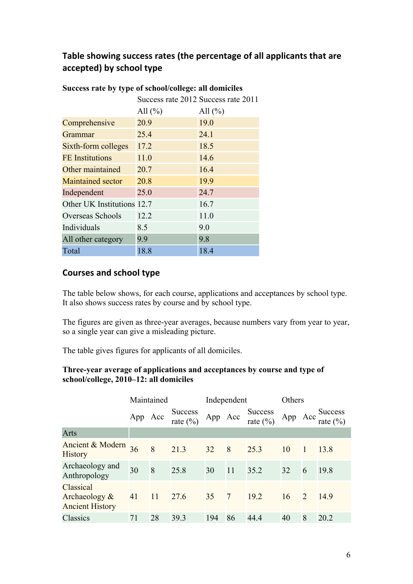### Table showing success rates (the percentage of all applicants that are accepted) by school type

|                            | Success rate 2012 Success rate 2011 |             |
|----------------------------|-------------------------------------|-------------|
|                            | All $(\% )$                         | All $(\% )$ |
| Comprehensive              | 20.9                                | 19.0        |
| Grammar                    | 25.4                                | 24.1        |
| Sixth-form colleges        | 17.2                                | 18.5        |
| <b>FE</b> Institutions     | 11.0                                | 14.6        |
| Other maintained           | 20.7                                | 16.4        |
| <b>Maintained sector</b>   | 20.8                                | 19.9        |
| Independent                | 25.0                                | 24.7        |
| Other UK Institutions 12.7 |                                     | 16.7        |
| Overseas Schools           | 12.2                                | 11.0        |
| Individuals                | 8.5                                 | 9.0         |
| All other category         | 9.9                                 | 9.8         |
| Total                      | 18.8                                | 18.4        |

### **Success rate by type of school/college: all domiciles**

### **Courses and school type**

The table below shows, for each course, applications and acceptances by school type. It also shows success rates by course and by school type.

The figures are given as three-year averages, because numbers vary from year to year, so a single year can give a misleading picture.

The table gives figures for applicants of all domiciles.

### **Three-year average of applications and acceptances by course and type of school/college, 2010–12: all domiciles**

|                                                      | Maintained |               |                               | Independent |    |                                | Others  |              |                     |
|------------------------------------------------------|------------|---------------|-------------------------------|-------------|----|--------------------------------|---------|--------------|---------------------|
|                                                      | App Acc    |               | Success<br>rate $\frac{0}{0}$ | App Acc     |    | Success<br>rate $\binom{0}{0}$ | App Acc |              | Success<br>rate (%) |
| Arts                                                 |            |               |                               |             |    |                                |         |              |                     |
| Ancient & Modern<br><b>History</b>                   | 36         | 8             | 21.3                          | 32          | 8  | 25.3                           | 10      | $\mathbf{1}$ | 13.8                |
| Archaeology and<br>Anthropology                      | 30         | 8             | 25.8                          | 30          | 11 | 35.2                           | 32      | 6            | 19.8                |
| Classical<br>Archaeology &<br><b>Ancient History</b> | 41         | <sup>11</sup> | 27.6                          | 35 7        |    | 19.2                           | 16      | 2            | 14.9                |
| Classics                                             | 71         | 28            | 39.3                          | 194         | 86 | 44.4                           | 40      | 8            | 20.2                |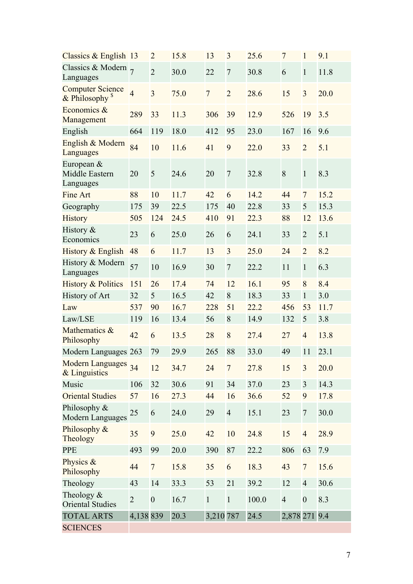| Classics & English 13                         |                | $\overline{2}$   | 15.8 | 13             | 3              | 25.6  | $\overline{7}$   | $\mathbf{1}$     | 9.1  |
|-----------------------------------------------|----------------|------------------|------|----------------|----------------|-------|------------------|------------------|------|
| Classics & Modern $_7$<br>Languages           |                | $\overline{2}$   | 30.0 | 22             | $\tau$         | 30.8  | 6                | $\mathbf{1}$     | 11.8 |
| <b>Computer Science</b><br>$&$ Philosophy $s$ | $\overline{4}$ | $\overline{3}$   | 75.0 | $\overline{7}$ | $\overline{2}$ | 28.6  | 15               | $\overline{3}$   | 20.0 |
| Economics &<br>Management                     | 289            | 33               | 11.3 | 306            | 39             | 12.9  | 526              | 19               | 3.5  |
| English                                       | 664            | 119              | 18.0 | 412            | 95             | 23.0  | 167              | 16               | 9.6  |
| English & Modern<br>Languages                 | 84             | 10               | 11.6 | 41             | 9              | 22.0  | 33               | $\overline{2}$   | 5.1  |
| European $&$<br>Middle Eastern<br>Languages   | 20             | 5                | 24.6 | 20             | $\overline{7}$ | 32.8  | $\boldsymbol{8}$ | $\mathbf{1}$     | 8.3  |
| <b>Fine Art</b>                               | 88             | 10               | 11.7 | 42             | 6              | 14.2  | 44               | $\overline{7}$   | 15.2 |
| Geography                                     | 175            | 39               | 22.5 | 175            | 40             | 22.8  | 33               | 5                | 15.3 |
| History                                       | 505            | 124              | 24.5 | 410            | 91             | 22.3  | 88               | 12               | 13.6 |
| History $&$<br>Economics                      | 23             | 6                | 25.0 | 26             | 6              | 24.1  | 33               | $\overline{2}$   | 5.1  |
| History & English                             | 48             | 6                | 11.7 | 13             | $\overline{3}$ | 25.0  | 24               | $\overline{2}$   | 8.2  |
| History & Modern<br>Languages                 | 57             | 10               | 16.9 | 30             | $\overline{7}$ | 22.2  | 11               | $\mathbf{1}$     | 6.3  |
| <b>History &amp; Politics</b>                 | 151            | 26               | 17.4 | 74             | 12             | 16.1  | 95               | 8                | 8.4  |
| <b>History of Art</b>                         | 32             | 5                | 16.5 | 42             | 8              | 18.3  | 33               | $\mathbf{1}$     | 3.0  |
| Law                                           | 537            | 90               | 16.7 | 228            | 51             | 22.2  | 456              | 53               | 11.7 |
| Law/LSE                                       | 119            | 16               | 13.4 | 56             | 8              | 14.9  | 132              | 5                | 3.8  |
| Mathematics &<br>Philosophy                   | 42             | 6                | 13.5 | 28             | 8              | 27.4  | 27               | $\overline{4}$   | 13.8 |
| Modern Languages 263                          |                | 79               | 29.9 | 265            | 88             | 33.0  | 49               | 11               | 23.1 |
| Modern Languages<br>& Linguistics             | 34             | 12               | 34.7 | 24             | $\overline{7}$ | 27.8  | 15               | 3                | 20.0 |
| Music                                         | 106            | 32               | 30.6 | 91             | 34             | 37.0  | 23               | 3                | 14.3 |
| <b>Oriental Studies</b>                       | 57             | 16               | 27.3 | 44             | 16             | 36.6  | 52               | 9                | 17.8 |
| Philosophy &<br>Modern Languages              | 25             | 6                | 24.0 | 29             | $\overline{4}$ | 15.1  | 23               | $\overline{7}$   | 30.0 |
| Philosophy &<br>Theology                      | 35             | 9                | 25.0 | 42             | 10             | 24.8  | 15               | $\overline{4}$   | 28.9 |
| <b>PPE</b>                                    | 493            | 99               | 20.0 | 390            | 87             | 22.2  | 806              | 63               | 7.9  |
| Physics &<br>Philosophy                       | 44             | $\overline{7}$   | 15.8 | 35             | 6              | 18.3  | 43               | $\overline{7}$   | 15.6 |
| Theology                                      | 43             | 14               | 33.3 | 53             | 21             | 39.2  | 12               | $\overline{4}$   | 30.6 |
| Theology $&$<br><b>Oriental Studies</b>       | $\overline{2}$ | $\boldsymbol{0}$ | 16.7 | $\mathbf{1}$   | $\mathbf{1}$   | 100.0 | $\overline{4}$   | $\boldsymbol{0}$ | 8.3  |
| <b>TOTAL ARTS</b>                             | 4,138 839      |                  | 20.3 | 3,210 787      |                | 24.5  | 2,878 271 9.4    |                  |      |
| <b>SCIENCES</b>                               |                |                  |      |                |                |       |                  |                  |      |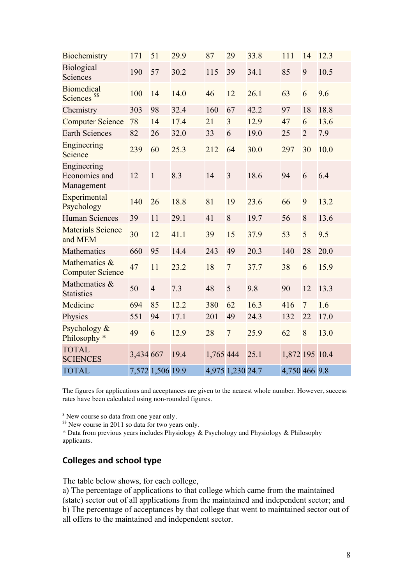| Biochemistry                                  | 171       | 51               | 29.9 | 87        | 29               | 33.8 | 111            | 14             | 12.3 |
|-----------------------------------------------|-----------|------------------|------|-----------|------------------|------|----------------|----------------|------|
| Biological<br>Sciences                        | 190       | 57               | 30.2 | 115       | 39               | 34.1 | 85             | 9              | 10.5 |
| <b>Biomedical</b><br>Sciences <sup>\$\$</sup> | 100       | 14               | 14.0 | 46        | 12               | 26.1 | 63             | 6              | 9.6  |
| Chemistry                                     | 303       | 98               | 32.4 | 160       | 67               | 42.2 | 97             | 18             | 18.8 |
| <b>Computer Science</b>                       | 78        | 14               | 17.4 | 21        | $\overline{3}$   | 12.9 | 47             | 6              | 13.6 |
| <b>Earth Sciences</b>                         | 82        | 26               | 32.0 | 33        | 6                | 19.0 | 25             | $\overline{2}$ | 7.9  |
| Engineering<br>Science                        | 239       | 60               | 25.3 | 212       | 64               | 30.0 | 297            | 30             | 10.0 |
| Engineering<br>Economics and<br>Management    | 12        | $\mathbf{1}$     | 8.3  | 14        | $\overline{3}$   | 18.6 | 94             | 6              | 6.4  |
| Experimental<br>Psychology                    | 140       | 26               | 18.8 | 81        | 19               | 23.6 | 66             | 9              | 13.2 |
| <b>Human Sciences</b>                         | 39        | 11               | 29.1 | 41        | 8                | 19.7 | 56             | 8              | 13.6 |
| <b>Materials Science</b><br>and MEM           | 30        | 12               | 41.1 | 39        | 15               | 37.9 | 53             | 5              | 9.5  |
| Mathematics                                   | 660       | 95               | 14.4 | 243       | 49               | 20.3 | 140            | 28             | 20.0 |
| Mathematics &<br><b>Computer Science</b>      | 47        | 11               | 23.2 | 18        | $\overline{7}$   | 37.7 | 38             | 6              | 15.9 |
| Mathematics &<br><b>Statistics</b>            | 50        | $\overline{4}$   | 7.3  | 48        | 5                | 9.8  | 90             | 12             | 13.3 |
| Medicine                                      | 694       | 85               | 12.2 | 380       | 62               | 16.3 | 416            | $\overline{7}$ | 1.6  |
| Physics                                       | 551       | 94               | 17.1 | 201       | 49               | 24.3 | 132            | 22             | 17.0 |
| Psychology &<br>Philosophy <sup>*</sup>       | 49        | 6                | 12.9 | 28        | $\overline{7}$   | 25.9 | 62             | 8              | 13.0 |
| <b>TOTAL</b><br><b>SCIENCES</b>               | 3,434 667 |                  | 19.4 | 1,765 444 |                  | 25.1 | 1,872 195 10.4 |                |      |
| <b>TOTAL</b>                                  |           | 7,572 1,506 19.9 |      |           | 4,975 1,230 24.7 |      | 4,750 466 9.8  |                |      |

The figures for applications and acceptances are given to the nearest whole number. However, success rates have been calculated using non-rounded figures.

<sup>\$</sup> New course so data from one year only.

<sup>\$\$</sup> New course in 2011 so data for two years only.

\* Data from previous years includes Physiology & Psychology and Physiology & Philosophy applicants.

### **Colleges and school type**

The table below shows, for each college,

a) The percentage of applications to that college which came from the maintained (state) sector out of all applications from the maintained and independent sector; and b) The percentage of acceptances by that college that went to maintained sector out of all offers to the maintained and independent sector.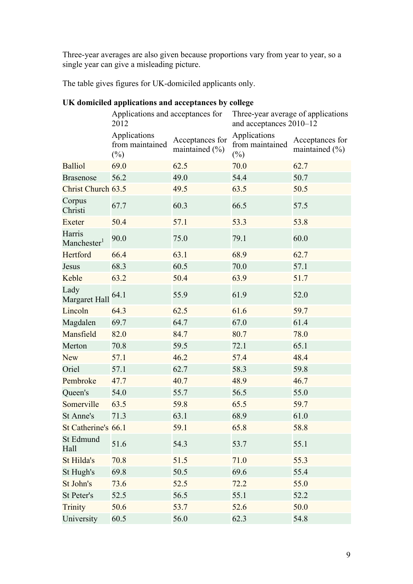Three-year averages are also given because proportions vary from year to year, so a single year can give a misleading picture.

The table gives figures for UK-domiciled applicants only.

|                                   | Applications and acceptances for<br>2012  |                                   | Three-year average of applications<br>and acceptances 2010-12 |                                       |  |  |
|-----------------------------------|-------------------------------------------|-----------------------------------|---------------------------------------------------------------|---------------------------------------|--|--|
|                                   | Applications<br>from maintained<br>$(\%)$ | Acceptances for<br>maintained (%) | Applications<br>from maintained<br>$(\%)$                     | Acceptances for<br>maintained $(\% )$ |  |  |
| <b>Balliol</b>                    | 69.0                                      | 62.5                              | 70.0                                                          | 62.7                                  |  |  |
| <b>Brasenose</b>                  | 56.2                                      | 49.0                              | 54.4                                                          | 50.7                                  |  |  |
| Christ Church 63.5                |                                           | 49.5                              | 63.5                                                          | 50.5                                  |  |  |
| Corpus<br>Christi                 | 67.7                                      | 60.3                              | 66.5                                                          | 57.5                                  |  |  |
| Exeter                            | 50.4                                      | 57.1                              | 53.3                                                          | 53.8                                  |  |  |
| Harris<br>Manchester <sup>1</sup> | 90.0                                      | 75.0                              | 79.1                                                          | 60.0                                  |  |  |
| Hertford                          | 66.4                                      | 63.1                              | 68.9                                                          | 62.7                                  |  |  |
| Jesus                             | 68.3                                      | 60.5                              | 70.0                                                          | 57.1                                  |  |  |
| Keble                             | 63.2                                      | 50.4                              | 63.9                                                          | 51.7                                  |  |  |
| Lady<br>Margaret Hall             | 64.1                                      | 55.9                              | 61.9                                                          | 52.0                                  |  |  |
| Lincoln                           | 64.3                                      | 62.5                              | 61.6                                                          | 59.7                                  |  |  |
| Magdalen                          | 69.7                                      | 64.7                              | 67.0                                                          | 61.4                                  |  |  |
| Mansfield                         | 82.0                                      | 84.7                              | 80.7                                                          | 78.0                                  |  |  |
| Merton                            | 70.8                                      | 59.5                              | 72.1                                                          | 65.1                                  |  |  |
| <b>New</b>                        | 57.1                                      | 46.2                              | 57.4                                                          | 48.4                                  |  |  |
| Oriel                             | 57.1                                      | 62.7                              | 58.3                                                          | 59.8                                  |  |  |
| Pembroke                          | 47.7                                      | 40.7                              | 48.9                                                          | 46.7                                  |  |  |
| Queen's                           | 54.0                                      | 55.7                              | 56.5                                                          | 55.0                                  |  |  |
| Somerville                        | 63.5                                      | 59.8                              | 65.5                                                          | 59.7                                  |  |  |
| St Anne's                         | 71.3                                      | 63.1                              | 68.9                                                          | 61.0                                  |  |  |
| St Catherine's 66.1               |                                           | 59.1                              | 65.8                                                          | 58.8                                  |  |  |
| St Edmund<br>Hall                 | 51.6                                      | 54.3                              | 53.7                                                          | 55.1                                  |  |  |
| St Hilda's                        | 70.8                                      | 51.5                              | 71.0                                                          | 55.3                                  |  |  |
| St Hugh's                         | 69.8                                      | 50.5                              | 69.6                                                          | 55.4                                  |  |  |
| St John's                         | 73.6                                      | 52.5                              | 72.2                                                          | 55.0                                  |  |  |
| St Peter's                        | 52.5                                      | 56.5                              | 55.1                                                          | 52.2                                  |  |  |
| <b>Trinity</b>                    | 50.6                                      | 53.7                              | 52.6                                                          | 50.0                                  |  |  |
| University                        | 60.5                                      | 56.0                              | 62.3                                                          | 54.8                                  |  |  |

### **UK domiciled applications and acceptances by college**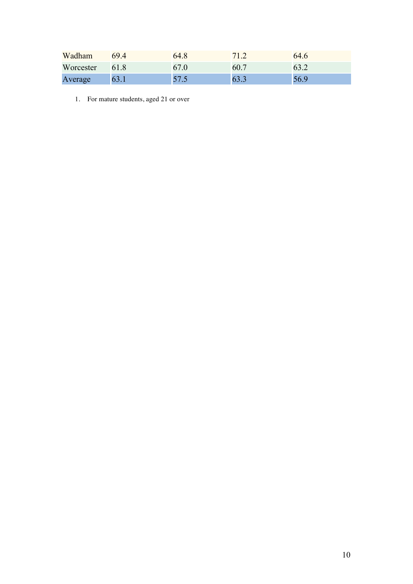| Wadham    | 694  | 64.8 |     | 64.6 |
|-----------|------|------|-----|------|
| Worcester | 61.8 |      | 60. |      |
| Average   |      |      |     | 56.9 |

1. For mature students, aged 21 or over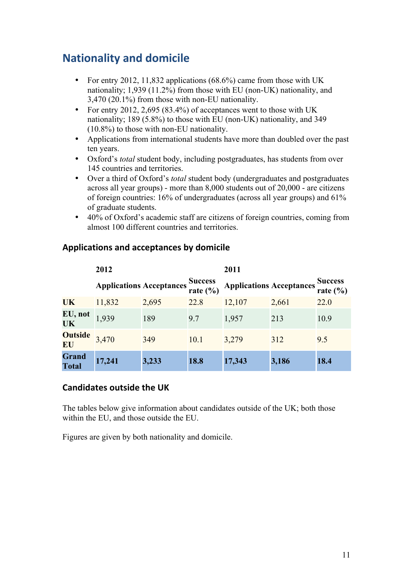# **Nationality and domicile**

- For entry 2012, 11,832 applications  $(68.6\%)$  came from those with UK nationality; 1,939 (11.2%) from those with EU (non-UK) nationality, and 3,470 (20.1%) from those with non-EU nationality.
- For entry 2012, 2,695 (83.4%) of acceptances went to those with UK nationality; 189 (5.8%) to those with EU (non-UK) nationality, and 349 (10.8%) to those with non-EU nationality.
- Applications from international students have more than doubled over the past ten years.
- Oxford's *total* student body, including postgraduates, has students from over 145 countries and territories.
- Over a third of Oxford's *total* student body (undergraduates and postgraduates across all year groups) - more than 8,000 students out of 20,000 - are citizens of foreign countries: 16% of undergraduates (across all year groups) and 61% of graduate students.
- 40% of Oxford's academic staff are citizens of foreign countries, coming from almost 100 different countries and territories.

|                              | 2012                            |       |                                | 2011                            |       |                                |
|------------------------------|---------------------------------|-------|--------------------------------|---------------------------------|-------|--------------------------------|
|                              | <b>Applications Acceptances</b> |       | <b>Success</b><br>rate $(\% )$ | <b>Applications Acceptances</b> |       | <b>Success</b><br>rate $(\% )$ |
| <b>UK</b>                    | 11,832                          | 2,695 | 22.8                           | 12,107                          | 2,661 | 22.0                           |
| EU, not<br><b>UK</b>         | 1,939                           | 189   | 9.7                            | 1,957                           | 213   | 10.9                           |
| <b>Outside</b><br>EU         | 3,470                           | 349   | 10.1                           | 3,279                           | 312   | 9.5                            |
| <b>Grand</b><br><b>Total</b> | 17,241                          | 3,233 | 18.8                           | 17,343                          | 3,186 | 18.4                           |

### **Applications!and!acceptances!by!domicile**

### **Candidates outside the UK**

The tables below give information about candidates outside of the UK; both those within the EU, and those outside the EU.

Figures are given by both nationality and domicile.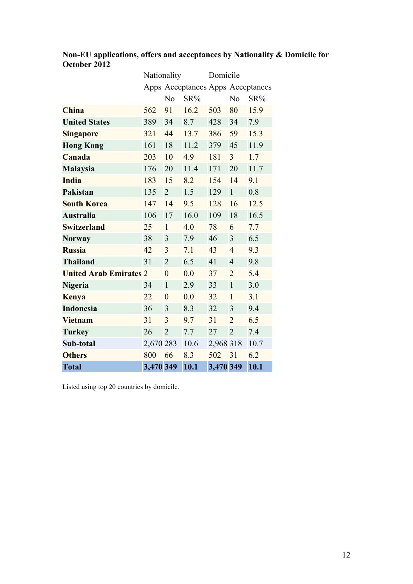|                               | Nationality |                |                                   | Domicile  |                |      |
|-------------------------------|-------------|----------------|-----------------------------------|-----------|----------------|------|
|                               |             |                | Apps Acceptances Apps Acceptances |           |                |      |
|                               |             | N <sub>0</sub> | $SR\%$                            |           | N <sub>0</sub> | SR%  |
| <b>China</b>                  | 562         | 91             | 16.2                              | 503       | 80             | 15.9 |
| <b>United States</b>          | 389         | 34             | 8.7                               | 428       | 34             | 7.9  |
| <b>Singapore</b>              | 321         | 44             | 13.7                              | 386       | 59             | 15.3 |
| <b>Hong Kong</b>              | 161         | 18             | 11.2                              | 379       | 45             | 11.9 |
| Canada                        | 203         | 10             | 4.9                               | 181       | $\overline{3}$ | 1.7  |
| <b>Malaysia</b>               | 176         | 20             | 11.4                              | 171       | 20             | 11.7 |
| <b>India</b>                  | 183         | 15             | 8.2                               | 154       | 14             | 9.1  |
| Pakistan                      | 135         | $\overline{2}$ | 1.5                               | 129       | $\mathbf{1}$   | 0.8  |
| <b>South Korea</b>            | 147         | 14             | 9.5                               | 128       | 16             | 12.5 |
| <b>Australia</b>              | 106         | 17             | 16.0                              | 109       | 18             | 16.5 |
| <b>Switzerland</b>            | 25          | $\mathbf{1}$   | 4.0                               | 78        | 6              | 7.7  |
| <b>Norway</b>                 | 38          | 3              | 7.9                               | 46        | 3              | 6.5  |
| <b>Russia</b>                 | 42          | 3              | 7.1                               | 43        | $\overline{4}$ | 9.3  |
| <b>Thailand</b>               | 31          | $\overline{2}$ | 6.5                               | 41        | $\overline{4}$ | 9.8  |
| <b>United Arab Emirates 2</b> |             | $\overline{0}$ | 0.0                               | 37        | $\overline{2}$ | 5.4  |
| <b>Nigeria</b>                | 34          | $\mathbf{1}$   | 2.9                               | 33        | $\mathbf{1}$   | 3.0  |
| <b>Kenya</b>                  | 22          | $\overline{0}$ | 0.0                               | 32        | $\mathbf{1}$   | 3.1  |
| <b>Indonesia</b>              | 36          | 3              | 8.3                               | 32        | 3              | 9.4  |
| <b>Vietnam</b>                | 31          | 3              | 9.7                               | 31        | $\overline{2}$ | 6.5  |
| <b>Turkey</b>                 | 26          | $\overline{2}$ | 7.7                               | 27        | $\overline{2}$ | 7.4  |
| Sub-total                     | 2,670 283   |                | 10.6                              | 2,968 318 |                | 10.7 |
| <b>Others</b>                 | 800         | 66             | 8.3                               | 502       | 31             | 6.2  |
| <b>Total</b>                  | 3,470 349   |                | 10.1                              | 3,470 349 |                | 10.1 |

**Non-EU applications, offers and acceptances by Nationality & Domicile for October 2012**

Listed using top 20 countries by domicile.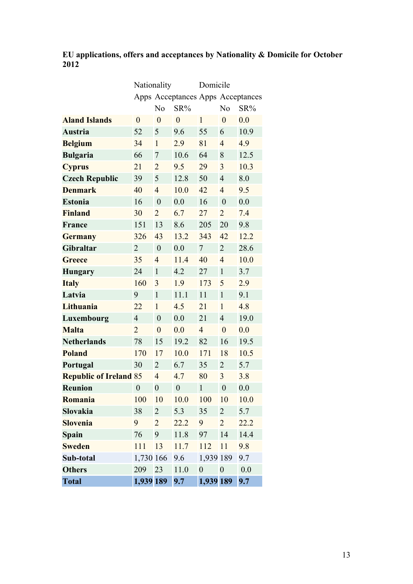### **EU applications, offers and acceptances by Nationality & Domicile for October 2012**

|                               | Nationality      |                  |                  | Domicile                          |                  |        |
|-------------------------------|------------------|------------------|------------------|-----------------------------------|------------------|--------|
|                               |                  |                  |                  | Apps Acceptances Apps Acceptances |                  |        |
|                               |                  | N <sub>o</sub>   | SR%              |                                   | N <sub>o</sub>   | $SR\%$ |
| <b>Aland Islands</b>          | $\boldsymbol{0}$ | $\boldsymbol{0}$ | $\overline{0}$   | $\mathbf{1}$                      | $\overline{0}$   | 0.0    |
| Austria                       | 52               | 5                | 9.6              | 55                                | 6                | 10.9   |
| <b>Belgium</b>                | 34               | $\mathbf{1}$     | 2.9              | 81                                | $\overline{4}$   | 4.9    |
| <b>Bulgaria</b>               | 66               | 7                | 10.6             | 64                                | 8                | 12.5   |
| <b>Cyprus</b>                 | 21               | $\overline{2}$   | 9.5              | 29                                | 3                | 10.3   |
| <b>Czech Republic</b>         | 39               | 5                | 12.8             | 50                                | $\overline{4}$   | 8.0    |
| <b>Denmark</b>                | 40               | $\overline{4}$   | 10.0             | 42                                | $\overline{4}$   | 9.5    |
| <b>Estonia</b>                | 16               | $\boldsymbol{0}$ | 0.0              | 16                                | $\mathbf{0}$     | 0.0    |
| <b>Finland</b>                | 30               | $\overline{2}$   | 6.7              | 27                                | $\overline{2}$   | 7.4    |
| France                        | 151              | 13               | 8.6              | 205                               | 20               | 9.8    |
| <b>Germany</b>                | 326              | 43               | 13.2             | 343                               | 42               | 12.2   |
| Gibraltar                     | $\overline{2}$   | $\overline{0}$   | 0.0              | $\overline{7}$                    | $\overline{2}$   | 28.6   |
| Greece                        | 35               | $\overline{4}$   | 11.4             | 40                                | $\overline{4}$   | 10.0   |
| <b>Hungary</b>                | 24               | $\mathbf{1}$     | 4.2              | 27                                | $\mathbf{1}$     | 3.7    |
| <b>Italy</b>                  | 160              | 3                | 1.9              | 173                               | 5                | 2.9    |
| Latvia                        | 9                | $\mathbf{1}$     | 11.1             | 11                                | $\mathbf{1}$     | 9.1    |
| Lithuania                     | 22               | $\mathbf{1}$     | 4.5              | 21                                | $\mathbf{1}$     | 4.8    |
| Luxembourg                    | $\overline{4}$   | $\mathbf{0}$     | 0.0              | 21                                | $\overline{4}$   | 19.0   |
| <b>Malta</b>                  | $\overline{2}$   | $\overline{0}$   | 0.0              | $\overline{4}$                    | $\overline{0}$   | 0.0    |
| <b>Netherlands</b>            | 78               | 15               | 19.2             | 82                                | 16               | 19.5   |
| <b>Poland</b>                 | 170              | 17               | 10.0             | 171                               | 18               | 10.5   |
| Portugal                      | 30               | $\overline{2}$   | 6.7              | 35                                | $\overline{2}$   | 5.7    |
| <b>Republic of Ireland 85</b> |                  | $\overline{4}$   | 4.7              | 80                                | 3                | 3.8    |
| <b>Reunion</b>                | $\boldsymbol{0}$ | $\overline{0}$   | $\boldsymbol{0}$ | $\mathbf{1}$                      | $\boldsymbol{0}$ | 0.0    |
| Romania                       | 100              | 10               | 10.0             | 100                               | 10               | 10.0   |
| Slovakia                      | 38               | $\overline{2}$   | 5.3              | 35                                | $\overline{2}$   | 5.7    |
| <b>Slovenia</b>               | 9                | $\overline{2}$   | 22.2             | 9                                 | $\overline{2}$   | 22.2   |
| <b>Spain</b>                  | 76               | 9                | 11.8             | 97                                | 14               | 14.4   |
| <b>Sweden</b>                 | 111              | 13               | 11.7             | 112                               | 11               | 9.8    |
| Sub-total                     | 1,730 166        |                  | 9.6              | 1,939 189                         |                  | 9.7    |
| <b>Others</b>                 | 209              | 23               | 11.0             | $\boldsymbol{0}$                  | $\boldsymbol{0}$ | 0.0    |
| <b>Total</b>                  | 1,939 189        |                  | 9.7              | 1,939 189                         |                  | 9.7    |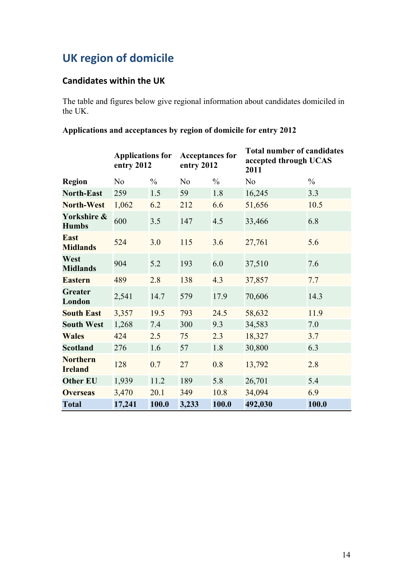# **UK region of domicile**

### **Candidates within the UK**

The table and figures below give regional information about candidates domiciled in the UK.

### **Applications and acceptances by region of domicile for entry 2012**

|                                   | <b>Applications for</b><br>entry 2012 |               | <b>Acceptances for</b><br>entry 2012 |               | <b>Total number of candidates</b><br>accepted through UCAS<br>2011 |               |
|-----------------------------------|---------------------------------------|---------------|--------------------------------------|---------------|--------------------------------------------------------------------|---------------|
| <b>Region</b>                     | N <sub>o</sub>                        | $\frac{0}{0}$ | N <sub>0</sub>                       | $\frac{0}{0}$ | N <sub>o</sub>                                                     | $\frac{0}{0}$ |
| <b>North-East</b>                 | 259                                   | 1.5           | 59                                   | 1.8           | 16,245                                                             | 3.3           |
| <b>North-West</b>                 | 1,062                                 | 6.2           | 212                                  | 6.6           | 51,656                                                             | 10.5          |
| Yorkshire &<br><b>Humbs</b>       | 600                                   | 3.5           | 147                                  | 4.5           | 33,466                                                             | 6.8           |
| <b>East</b><br><b>Midlands</b>    | 524                                   | 3.0           | 115                                  | 3.6           | 27,761                                                             | 5.6           |
| West<br><b>Midlands</b>           | 904                                   | 5.2           | 193                                  | 6.0           | 37,510                                                             | 7.6           |
| <b>Eastern</b>                    | 489                                   | 2.8           | 138                                  | 4.3           | 37,857                                                             | 7.7           |
| <b>Greater</b><br>London          | 2,541                                 | 14.7          | 579                                  | 17.9          | 70,606                                                             | 14.3          |
| <b>South East</b>                 | 3,357                                 | 19.5          | 793                                  | 24.5          | 58,632                                                             | 11.9          |
| <b>South West</b>                 | 1,268                                 | 7.4           | 300                                  | 9.3           | 34,583                                                             | 7.0           |
| <b>Wales</b>                      | 424                                   | 2.5           | 75                                   | 2.3           | 18,327                                                             | 3.7           |
| <b>Scotland</b>                   | 276                                   | 1.6           | 57                                   | 1.8           | 30,800                                                             | 6.3           |
| <b>Northern</b><br><b>Ireland</b> | 128                                   | 0.7           | 27                                   | 0.8           | 13,792                                                             | 2.8           |
| <b>Other EU</b>                   | 1,939                                 | 11.2          | 189                                  | 5.8           | 26,701                                                             | 5.4           |
| <b>Overseas</b>                   | 3,470                                 | 20.1          | 349                                  | 10.8          | 34,094                                                             | 6.9           |
| <b>Total</b>                      | 17,241                                | 100.0         | 3,233                                | 100.0         | 492,030                                                            | 100.0         |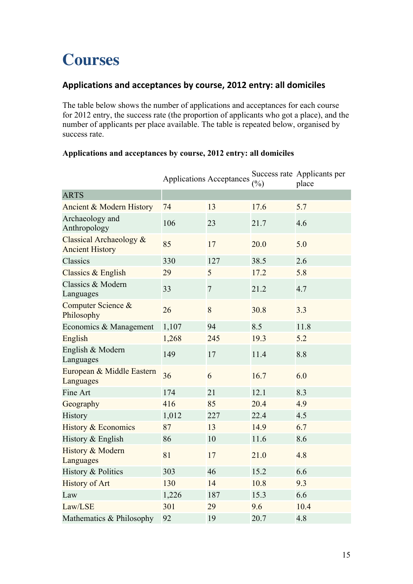# **Courses**

### Applications and acceptances by course, 2012 entry: all domiciles

The table below shows the number of applications and acceptances for each course for 2012 entry, the success rate (the proportion of applicants who got a place), and the number of applicants per place available. The table is repeated below, organised by success rate.

|                                                   |       | <b>Applications Acceptances</b> | $(\%)$ | Success rate Applicants per<br>place |
|---------------------------------------------------|-------|---------------------------------|--------|--------------------------------------|
| <b>ARTS</b>                                       |       |                                 |        |                                      |
| Ancient & Modern History                          | 74    | 13                              | 17.6   | 5.7                                  |
| Archaeology and<br>Anthropology                   | 106   | 23                              | 21.7   | 4.6                                  |
| Classical Archaeology &<br><b>Ancient History</b> | 85    | 17                              | 20.0   | 5.0                                  |
| Classics                                          | 330   | 127                             | 38.5   | 2.6                                  |
| Classics & English                                | 29    | 5                               | 17.2   | 5.8                                  |
| Classics & Modern<br>Languages                    | 33    | $\boldsymbol{7}$                | 21.2   | 4.7                                  |
| Computer Science &<br>Philosophy                  | 26    | 8                               | 30.8   | 3.3                                  |
| Economics & Management                            | 1,107 | 94                              | 8.5    | 11.8                                 |
| English                                           | 1,268 | 245                             | 19.3   | 5.2                                  |
| English & Modern<br>Languages                     | 149   | 17                              | 11.4   | 8.8                                  |
| European & Middle Eastern<br>Languages            | 36    | 6                               | 16.7   | 6.0                                  |
| Fine Art                                          | 174   | 21                              | 12.1   | 8.3                                  |
| Geography                                         | 416   | 85                              | 20.4   | 4.9                                  |
| History                                           | 1,012 | 227                             | 22.4   | 4.5                                  |
| <b>History &amp; Economics</b>                    | 87    | 13                              | 14.9   | 6.7                                  |
| History & English                                 | 86    | 10                              | 11.6   | 8.6                                  |
| History & Modern<br>Languages                     | 81    | 17                              | 21.0   | 4.8                                  |
| History & Politics                                | 303   | 46                              | 15.2   | 6.6                                  |
| <b>History of Art</b>                             | 130   | 14                              | 10.8   | 9.3                                  |
| Law                                               | 1,226 | 187                             | 15.3   | 6.6                                  |
| Law/LSE                                           | 301   | 29                              | 9.6    | 10.4                                 |
| Mathematics & Philosophy                          | 92    | 19                              | 20.7   | 4.8                                  |

### **Applications and acceptances by course, 2012 entry: all domiciles**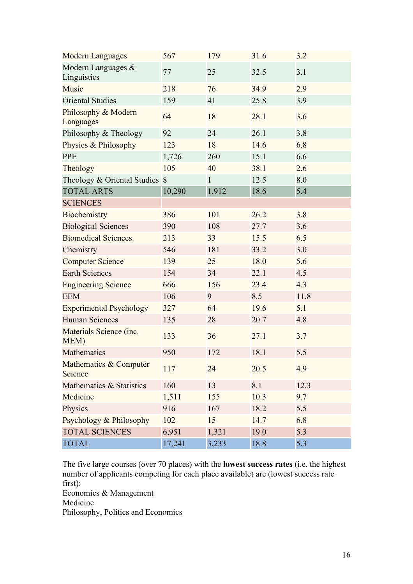| <b>Modern Languages</b>           | 567    | 179          | 31.6 | 3.2  |
|-----------------------------------|--------|--------------|------|------|
| Modern Languages &<br>Linguistics | 77     | 25           | 32.5 | 3.1  |
| Music                             | 218    | 76           | 34.9 | 2.9  |
| <b>Oriental Studies</b>           | 159    | 41           | 25.8 | 3.9  |
| Philosophy & Modern<br>Languages  | 64     | 18           | 28.1 | 3.6  |
| Philosophy & Theology             | 92     | 24           | 26.1 | 3.8  |
| Physics & Philosophy              | 123    | 18           | 14.6 | 6.8  |
| <b>PPE</b>                        | 1,726  | 260          | 15.1 | 6.6  |
| Theology                          | 105    | 40           | 38.1 | 2.6  |
| Theology & Oriental Studies 8     |        | $\mathbf{1}$ | 12.5 | 8.0  |
| <b>TOTAL ARTS</b>                 | 10,290 | 1,912        | 18.6 | 5.4  |
| <b>SCIENCES</b>                   |        |              |      |      |
| Biochemistry                      | 386    | 101          | 26.2 | 3.8  |
| <b>Biological Sciences</b>        | 390    | 108          | 27.7 | 3.6  |
| <b>Biomedical Sciences</b>        | 213    | 33           | 15.5 | 6.5  |
| Chemistry                         | 546    | 181          | 33.2 | 3.0  |
| <b>Computer Science</b>           | 139    | 25           | 18.0 | 5.6  |
| <b>Earth Sciences</b>             | 154    | 34           | 22.1 | 4.5  |
| <b>Engineering Science</b>        | 666    | 156          | 23.4 | 4.3  |
| <b>EEM</b>                        | 106    | 9            | 8.5  | 11.8 |
| <b>Experimental Psychology</b>    | 327    | 64           | 19.6 | 5.1  |
| <b>Human Sciences</b>             | 135    | 28           | 20.7 | 4.8  |
| Materials Science (inc.<br>MEM)   | 133    | 36           | 27.1 | 3.7  |
| Mathematics                       | 950    | 172          | 18.1 | 5.5  |
| Mathematics & Computer<br>Science | 117    | 24           | 20.5 | 4.9  |
| Mathematics & Statistics          | 160    | 13           | 8.1  | 12.3 |
| Medicine                          | 1,511  | 155          | 10.3 | 9.7  |
| Physics                           | 916    | 167          | 18.2 | 5.5  |
| Psychology & Philosophy           | 102    | 15           | 14.7 | 6.8  |
| <b>TOTAL SCIENCES</b>             | 6,951  | 1,321        | 19.0 | 5.3  |
| <b>TOTAL</b>                      | 17,241 | 3,233        | 18.8 | 5.3  |

The five large courses (over 70 places) with the **lowest success rates** (i.e. the highest number of applicants competing for each place available) are (lowest success rate first):

Economics & Management Medicine Philosophy, Politics and Economics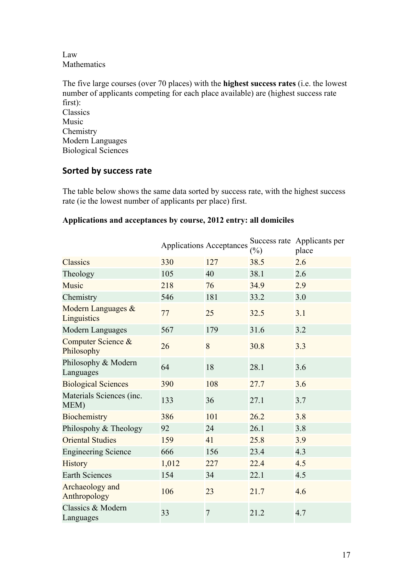Law Mathematics

The five large courses (over 70 places) with the **highest success rates** (i.e. the lowest number of applicants competing for each place available) are (highest success rate first): Classics Music Chemistry Modern Languages Biological Sciences

### **Sorted by success rate**

The table below shows the same data sorted by success rate, with the highest success rate (ie the lowest number of applicants per place) first.

|                                   | <b>Applications Acceptances</b> |                | $(\%)$ | Success rate Applicants per<br>place |
|-----------------------------------|---------------------------------|----------------|--------|--------------------------------------|
| <b>Classics</b>                   | 330                             | 127            | 38.5   | 2.6                                  |
| Theology                          | 105                             | 40             | 38.1   | 2.6                                  |
| Music                             | 218                             | 76             | 34.9   | 2.9                                  |
| Chemistry                         | 546                             | 181            | 33.2   | 3.0                                  |
| Modern Languages &<br>Linguistics | 77                              | 25             | 32.5   | 3.1                                  |
| Modern Languages                  | 567                             | 179            | 31.6   | 3.2                                  |
| Computer Science &<br>Philosophy  | 26                              | 8              | 30.8   | 3.3                                  |
| Philosophy & Modern<br>Languages  | 64                              | 18             | 28.1   | 3.6                                  |
| <b>Biological Sciences</b>        | 390                             | 108            | 27.7   | 3.6                                  |
| Materials Sciences (inc.<br>MEM)  | 133                             | 36             | 27.1   | 3.7                                  |
| Biochemistry                      | 386                             | 101            | 26.2   | 3.8                                  |
| Philospohy & Theology             | 92                              | 24             | 26.1   | 3.8                                  |
| <b>Oriental Studies</b>           | 159                             | 41             | 25.8   | 3.9                                  |
| <b>Engineering Science</b>        | 666                             | 156            | 23.4   | 4.3                                  |
| <b>History</b>                    | 1,012                           | 227            | 22.4   | 4.5                                  |
| <b>Earth Sciences</b>             | 154                             | 34             | 22.1   | 4.5                                  |
| Archaeology and<br>Anthropology   | 106                             | 23             | 21.7   | 4.6                                  |
| Classics & Modern<br>Languages    | 33                              | $\overline{7}$ | 21.2   | 4.7                                  |

#### **Applications and acceptances by course, 2012 entry: all domiciles**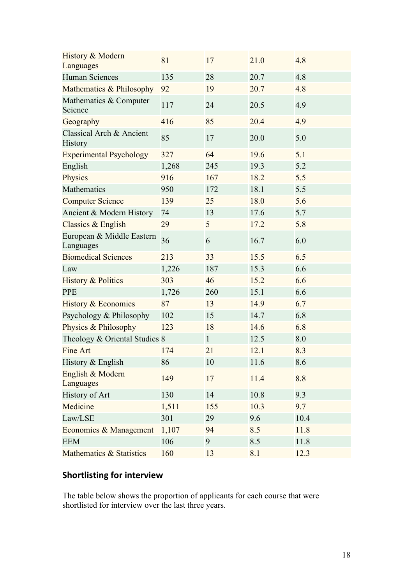| History & Modern<br>Languages              | 81    | 17           | 21.0 | 4.8  |
|--------------------------------------------|-------|--------------|------|------|
| <b>Human Sciences</b>                      | 135   | 28           | 20.7 | 4.8  |
| Mathematics & Philosophy                   | 92    | 19           | 20.7 | 4.8  |
| Mathematics & Computer<br>Science          | 117   | 24           | 20.5 | 4.9  |
| Geography                                  | 416   | 85           | 20.4 | 4.9  |
| Classical Arch & Ancient<br><b>History</b> | 85    | 17           | 20.0 | 5.0  |
| <b>Experimental Psychology</b>             | 327   | 64           | 19.6 | 5.1  |
| English                                    | 1,268 | 245          | 19.3 | 5.2  |
| Physics                                    | 916   | 167          | 18.2 | 5.5  |
| Mathematics                                | 950   | 172          | 18.1 | 5.5  |
| <b>Computer Science</b>                    | 139   | 25           | 18.0 | 5.6  |
| Ancient & Modern History                   | 74    | 13           | 17.6 | 5.7  |
| Classics & English                         | 29    | 5            | 17.2 | 5.8  |
| European & Middle Eastern<br>Languages     | 36    | 6            | 16.7 | 6.0  |
| <b>Biomedical Sciences</b>                 | 213   | 33           | 15.5 | 6.5  |
| Law                                        | 1,226 | 187          | 15.3 | 6.6  |
| <b>History &amp; Politics</b>              | 303   | 46           | 15.2 | 6.6  |
| <b>PPE</b>                                 | 1,726 | 260          | 15.1 | 6.6  |
| History & Economics                        | 87    | 13           | 14.9 | 6.7  |
| Psychology & Philosophy                    | 102   | 15           | 14.7 | 6.8  |
| Physics & Philosophy                       | 123   | 18           | 14.6 | 6.8  |
| Theology & Oriental Studies 8              |       | $\mathbf{1}$ | 12.5 | 8.0  |
| Fine Art                                   | 174   | 21           | 12.1 | 8.3  |
| History & English                          | 86    | 10           | 11.6 | 8.6  |
| English & Modern<br>Languages              | 149   | 17           | 11.4 | 8.8  |
| History of Art                             | 130   | 14           | 10.8 | 9.3  |
| Medicine                                   | 1,511 | 155          | 10.3 | 9.7  |
| Law/LSE                                    | 301   | 29           | 9.6  | 10.4 |
| Economics & Management                     | 1,107 | 94           | 8.5  | 11.8 |
| <b>EEM</b>                                 | 106   | 9            | 8.5  | 11.8 |
| Mathematics & Statistics                   | 160   | 13           | 8.1  | 12.3 |

### **Shortlisting for interview**

The table below shows the proportion of applicants for each course that were shortlisted for interview over the last three years.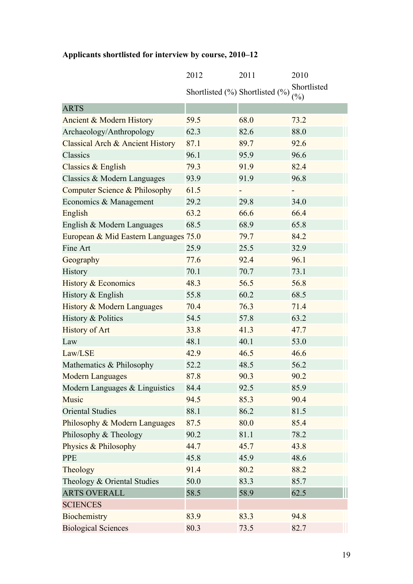|  | Applicants shortlisted for interview by course, 2010–12 |  |  |
|--|---------------------------------------------------------|--|--|
|  |                                                         |  |  |

|                                             | 2012 | 2011                            | 2010                                      |
|---------------------------------------------|------|---------------------------------|-------------------------------------------|
|                                             |      | Shortlisted (%) Shortlisted (%) | Shortlisted<br>$\left(\frac{0}{0}\right)$ |
| <b>ARTS</b>                                 |      |                                 |                                           |
| Ancient & Modern History                    | 59.5 | 68.0                            | 73.2                                      |
| Archaeology/Anthropology                    | 62.3 | 82.6                            | 88.0                                      |
| <b>Classical Arch &amp; Ancient History</b> | 87.1 | 89.7                            | 92.6                                      |
| Classics                                    | 96.1 | 95.9                            | 96.6                                      |
| Classics & English                          | 79.3 | 91.9                            | 82.4                                      |
| Classics & Modern Languages                 | 93.9 | 91.9                            | 96.8                                      |
| Computer Science & Philosophy               | 61.5 |                                 |                                           |
| Economics & Management                      | 29.2 | 29.8                            | 34.0                                      |
| English                                     | 63.2 | 66.6                            | 66.4                                      |
| English & Modern Languages                  | 68.5 | 68.9                            | 65.8                                      |
| European & Mid Eastern Languages 75.0       |      | 79.7                            | 84.2                                      |
| Fine Art                                    | 25.9 | 25.5                            | 32.9                                      |
| Geography                                   | 77.6 | 92.4                            | 96.1                                      |
| History                                     | 70.1 | 70.7                            | 73.1                                      |
| <b>History &amp; Economics</b>              | 48.3 | 56.5                            | 56.8                                      |
| History & English                           | 55.8 | 60.2                            | 68.5                                      |
| History & Modern Languages                  | 70.4 | 76.3                            | 71.4                                      |
| History & Politics                          | 54.5 | 57.8                            | 63.2                                      |
| <b>History of Art</b>                       | 33.8 | 41.3                            | 47.7                                      |
| Law                                         | 48.1 | 40.1                            | 53.0                                      |
| Law/LSE                                     | 42.9 | 46.5                            | 46.6                                      |
| Mathematics & Philosophy                    | 52.2 | 48.5                            | 56.2                                      |
| <b>Modern Languages</b>                     | 87.8 | 90.3                            | 90.2                                      |
| Modern Languages & Linguistics              | 84.4 | 92.5                            | 85.9                                      |
| Music                                       | 94.5 | 85.3                            | 90.4                                      |
| <b>Oriental Studies</b>                     | 88.1 | 86.2                            | 81.5                                      |
| Philosophy & Modern Languages               | 87.5 | 80.0                            | 85.4                                      |
| Philosophy & Theology                       | 90.2 | 81.1                            | 78.2                                      |
| Physics & Philosophy                        | 44.7 | 45.7                            | 43.8                                      |
| <b>PPE</b>                                  | 45.8 | 45.9                            | 48.6                                      |
| Theology                                    | 91.4 | 80.2                            | 88.2                                      |
| Theology & Oriental Studies                 | 50.0 | 83.3                            | 85.7                                      |
| <b>ARTS OVERALL</b>                         | 58.5 | 58.9                            | 62.5                                      |
| <b>SCIENCES</b>                             |      |                                 |                                           |
| Biochemistry                                | 83.9 | 83.3                            | 94.8                                      |
| <b>Biological Sciences</b>                  | 80.3 | 73.5                            | 82.7                                      |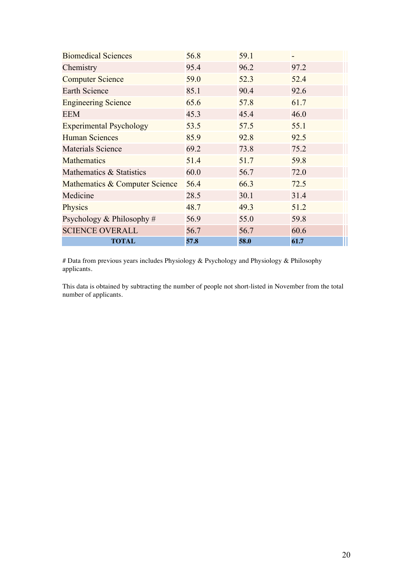| <b>Biomedical Sciences</b>     | 56.8 | 59.1 | $\overline{\phantom{0}}$ |
|--------------------------------|------|------|--------------------------|
| Chemistry                      | 95.4 | 96.2 | 97.2                     |
| <b>Computer Science</b>        | 59.0 | 52.3 | 52.4                     |
| <b>Earth Science</b>           | 85.1 | 90.4 | 92.6                     |
| <b>Engineering Science</b>     | 65.6 | 57.8 | 61.7                     |
| <b>EEM</b>                     | 45.3 | 45.4 | 46.0                     |
| <b>Experimental Psychology</b> | 53.5 | 57.5 | 55.1                     |
| <b>Human Sciences</b>          | 85.9 | 92.8 | 92.5                     |
| <b>Materials Science</b>       | 69.2 | 73.8 | 75.2                     |
| <b>Mathematics</b>             | 51.4 | 51.7 | 59.8                     |
| Mathematics & Statistics       | 60.0 | 56.7 | 72.0                     |
| Mathematics & Computer Science | 56.4 | 66.3 | 72.5                     |
| Medicine                       | 28.5 | 30.1 | 31.4                     |
| Physics                        | 48.7 | 49.3 | 51.2                     |
| Psychology & Philosophy $#$    | 56.9 | 55.0 | 59.8                     |
| <b>SCIENCE OVERALL</b>         | 56.7 | 56.7 | 60.6                     |
| <b>TOTAL</b>                   | 57.8 | 58.0 | 61.7                     |

# Data from previous years includes Physiology & Psychology and Physiology & Philosophy applicants.

This data is obtained by subtracting the number of people not short-listed in November from the total number of applicants.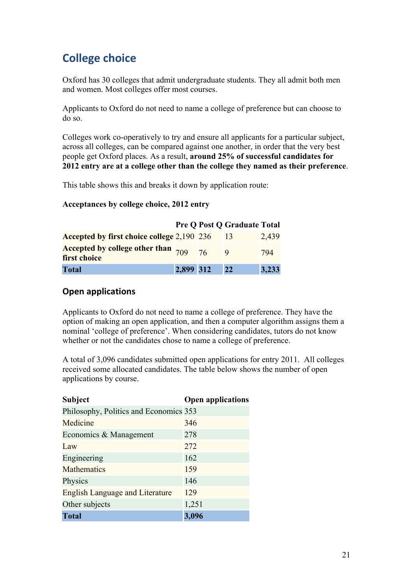# **College choice**

Oxford has 30 colleges that admit undergraduate students. They all admit both men and women. Most colleges offer most courses.

Applicants to Oxford do not need to name a college of preference but can choose to do so.

Colleges work co-operatively to try and ensure all applicants for a particular subject, across all colleges, can be compared against one another, in order that the very best people get Oxford places. As a result, **around 25% of successful candidates for 2012 entry are at a college other than the college they named as their preference**.

This table shows this and breaks it down by application route:

#### **Acceptances by college choice, 2012 entry**

|                                                                |           |    | <b>Pre Q Post Q Graduate Total</b> |       |
|----------------------------------------------------------------|-----------|----|------------------------------------|-------|
| Accepted by first choice college 2,190 236                     |           |    |                                    | 2,439 |
| Accepted by college other than $\frac{1}{709}$<br>first choice |           | 76 |                                    | 794   |
| <b>Total</b>                                                   | 2,899 312 |    | 22                                 | 3,233 |

#### **Open applications**

Applicants to Oxford do not need to name a college of preference. They have the option of making an open application, and then a computer algorithm assigns them a nominal 'college of preference'. When considering candidates, tutors do not know whether or not the candidates chose to name a college of preference.

A total of 3,096 candidates submitted open applications for entry 2011. All colleges received some allocated candidates. The table below shows the number of open applications by course.

| <b>Subject</b>                         | <b>Open applications</b> |
|----------------------------------------|--------------------------|
| Philosophy, Politics and Economics 353 |                          |
| Medicine                               | 346                      |
| Economics & Management                 | 278                      |
| Law                                    | 272                      |
| Engineering                            | 162                      |
| <b>Mathematics</b>                     | 159                      |
| Physics                                | 146                      |
| <b>English Language and Literature</b> | 129                      |
| Other subjects                         | 1,251                    |
| <b>Total</b>                           | 3,096                    |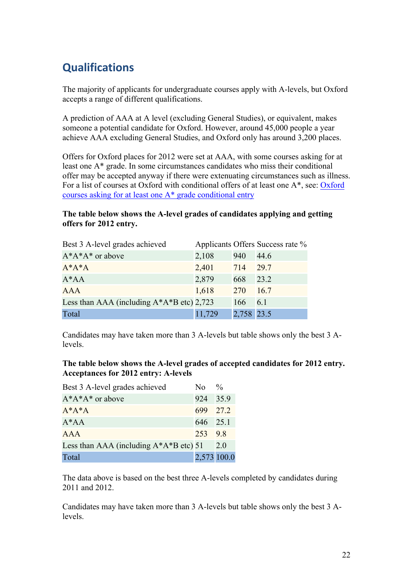# **Qualifications**

The majority of applicants for undergraduate courses apply with A-levels, but Oxford accepts a range of different qualifications.

A prediction of AAA at A level (excluding General Studies), or equivalent, makes someone a potential candidate for Oxford. However, around 45,000 people a year achieve AAA excluding General Studies, and Oxford only has around 3,200 places.

Offers for Oxford places for 2012 were set at AAA, with some courses asking for at least one A\* grade. In some circumstances candidates who miss their conditional offer may be accepted anyway if there were extenuating circumstances such as illness. For a list of courses at Oxford with conditional offers of at least one A\*, see: Oxford courses asking for at least one A\* grade conditional entry

### **The table below shows the A-level grades of candidates applying and getting offers for 2012 entry.**

| Best 3 A-level grades achieved                |        |            | Applicants Offers Success rate % |
|-----------------------------------------------|--------|------------|----------------------------------|
| $A^*A^*A^*$ or above                          | 2,108  | 940        | 44.6                             |
| $A^*A^*A$                                     | 2,401  | 714        | 29.7                             |
| $A^*AA$                                       | 2,879  | 668        | 23.2                             |
| <b>AAA</b>                                    | 1,618  | <b>270</b> | 16.7                             |
| Less than AAA (including $A^*A^*B$ etc) 2,723 |        | 166        | 6.1                              |
| Total                                         | 11,729 | 2,758 23.5 |                                  |

Candidates may have taken more than 3 A-levels but table shows only the best 3 Alevels.

### **The table below shows the A-level grades of accepted candidates for 2012 entry. Acceptances for 2012 entry: A-levels**

| Best 3 A-level grades achieved             | No.      | $\frac{0}{0}$ |
|--------------------------------------------|----------|---------------|
| $A^*A^*A^*$ or above                       | 924      | 35.9          |
| $A^*A^*A$                                  | 699 27.2 |               |
| $A^*AA$                                    | 646 25.1 |               |
| AAA                                        | 253 98   |               |
| Less than AAA (including $A^*A^*B$ etc) 51 |          | 2.0           |
| Total                                      |          | 2,573 100.0   |

The data above is based on the best three A-levels completed by candidates during 2011 and 2012.

Candidates may have taken more than 3 A-levels but table shows only the best 3 Alevels.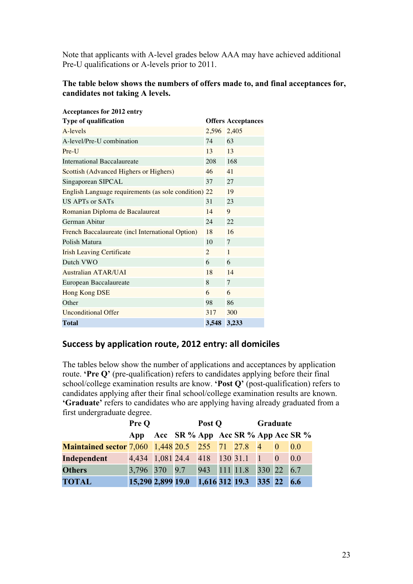Note that applicants with A-level grades below AAA may have achieved additional Pre-U qualifications or A-levels prior to 2011.

#### **The table below shows the numbers of offers made to, and final acceptances for, candidates not taking A levels.**

| <b>Acceptances for 2012 entry</b>                    |                |                           |
|------------------------------------------------------|----------------|---------------------------|
| <b>Type of qualification</b>                         |                | <b>Offers Acceptances</b> |
| A-levels                                             | 2,596          | 2,405                     |
| A-level/Pre-U combination                            | 74             | 63                        |
| $Pre-I$                                              | $13 -$         | 13                        |
| International Baccalaureate                          | 208            | 168                       |
| Scottish (Advanced Highers or Highers)               | 46             | 41                        |
| Singaporean SIPCAL                                   | 37             | 27                        |
| English Language requirements (as sole condition) 22 |                | 19                        |
| US APTs or SATs                                      | 31             | 23                        |
| Romanian Diploma de Bacalaureat                      | 14             | 9                         |
| German Abitur                                        | 24             | 22                        |
| French Baccalaureate (incl International Option)     | 18             | 16                        |
| Polish Matura                                        | 10             | 7                         |
| <b>Irish Leaving Certificate</b>                     | $\overline{2}$ | $\mathbf{1}$              |
| Dutch VWO                                            | 6              | 6                         |
| Australian ATAR/UAI                                  | 18             | 14                        |
| European Baccalaureate                               | 8              | $\tau$                    |
| Hong Kong DSE                                        | 6              | 6                         |
| Other                                                | 98             | 86                        |
| <b>Unconditional Offer</b>                           | 317            | 300                       |
| <b>Total</b>                                         | 3,548          | 3,233                     |

### Success by application route, 2012 entry: all domiciles

The tables below show the number of applications and acceptances by application route. **'Pre Q'** (pre-qualification) refers to candidates applying before their final school/college examination results are know. **'Post Q'** (post-qualification) refers to candidates applying after their final school/college examination results are known. **'Graduate'** refers to candidates who are applying having already graduated from a first undergraduate degree.

|                                                           | Pre Q                             | Post Q |  | Graduate |                           |  |  |                                             |
|-----------------------------------------------------------|-----------------------------------|--------|--|----------|---------------------------|--|--|---------------------------------------------|
|                                                           | App                               |        |  |          |                           |  |  | Acc SR $\%$ App Acc SR $\%$ App Acc SR $\%$ |
| <b>Maintained sector 7,060 1,448 20.5 255 71 27.8 4 0</b> |                                   |        |  |          |                           |  |  | (0.0)                                       |
| Independent                                               | 4,434 1,081 24.4 418 130 31.1 1 0 |        |  |          |                           |  |  | 0.0                                         |
| <b>Others</b>                                             | 3,796 370 9.7                     |        |  |          | 943 111 11.8 330 22 6.7   |  |  |                                             |
| <b>TOTAL</b>                                              | 15,290 2,899 19.0                 |        |  |          | 1,616 312 19.3 335 22 6.6 |  |  |                                             |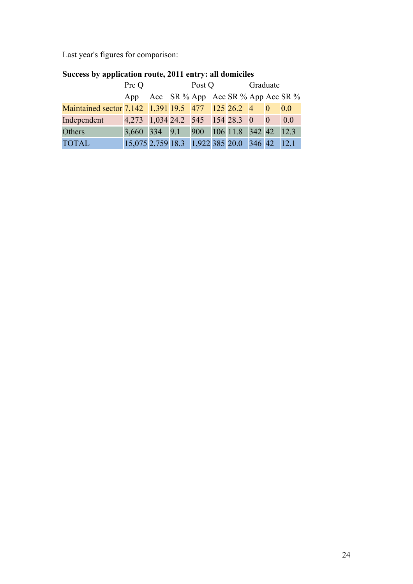Last year's figures for comparison:

|                                                     | Pre Q                                        |  | Post Q |  | Graduate |  |  |           |
|-----------------------------------------------------|----------------------------------------------|--|--------|--|----------|--|--|-----------|
|                                                     | App Acc SR % App Acc SR % App Acc SR %       |  |        |  |          |  |  |           |
| Maintained sector 7,142 1,391 19.5 477 125 26.2 4 0 |                                              |  |        |  |          |  |  | $\pm 0.0$ |
| Independent                                         | 4,273 1,034 24.2 545 154 28.3 0 0            |  |        |  |          |  |  | 0.0       |
| Others                                              | 3,660 334 9.1 900 106 11.8 342 42 12.3       |  |        |  |          |  |  |           |
| <b>TOTAL</b>                                        | 15,075 2,759 18.3 1,922 385 20.0 346 42 12.1 |  |        |  |          |  |  |           |

### **Success by application route, 2011 entry: all domiciles**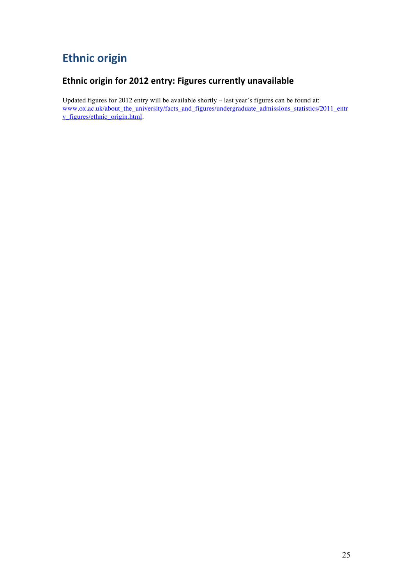# **Ethnic origin**

### Ethnic origin for 2012 entry: Figures currently unavailable

Updated figures for 2012 entry will be available shortly – last year's figures can be found at: www.ox.ac.uk/about\_the\_university/facts\_and\_figures/undergraduate\_admissions\_statistics/2011\_entr y\_figures/ethnic\_origin.html.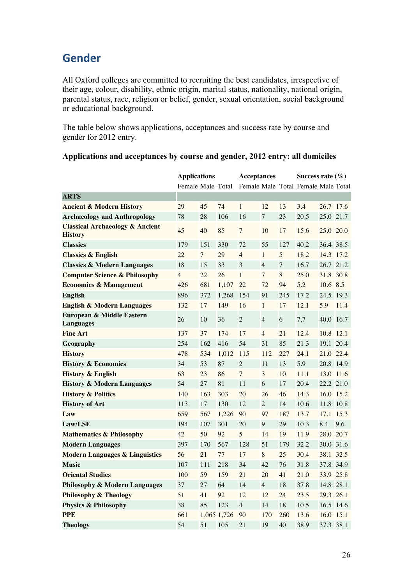# **Gender**

All Oxford colleges are committed to recruiting the best candidates, irrespective of their age, colour, disability, ethnic origin, marital status, nationality, national origin, parental status, race, religion or belief, gender, sexual orientation, social background or educational background.

The table below shows applications, acceptances and success rate by course and gender for 2012 entry.

|                                                              | <b>Applications</b> |                |             | <b>Acceptances</b> |                |                  | Success rate $(\% )$                |            |      |
|--------------------------------------------------------------|---------------------|----------------|-------------|--------------------|----------------|------------------|-------------------------------------|------------|------|
|                                                              | Female Male Total   |                |             |                    |                |                  | Female Male Total Female Male Total |            |      |
| <b>ARTS</b>                                                  |                     |                |             |                    |                |                  |                                     |            |      |
| <b>Ancient &amp; Modern History</b>                          | 29                  | 45             | 74          | 1                  | 12             | 13               | 3.4                                 | 26.7 17.6  |      |
| <b>Archaeology and Anthropology</b>                          | 78                  | 28             | 106         | 16                 | 7              | 23               | 20.5                                | 25.0 21.7  |      |
| <b>Classical Archaeology &amp; Ancient</b><br><b>History</b> | 45                  | 40             | 85          | $\overline{7}$     | 10             | 17               | 15.6                                | 25.0 20.0  |      |
| <b>Classics</b>                                              | 179                 | 151            | 330         | 72                 | 55             | 127              | 40.2                                | 36.4 38.5  |      |
| <b>Classics &amp; English</b>                                | 22                  | $\overline{7}$ | 29          | $\overline{4}$     | $\mathbf{1}$   | 5                | 18.2                                | 14.3 17.2  |      |
| <b>Classics &amp; Modern Languages</b>                       | 18                  | 15             | 33          | 3                  | $\overline{4}$ | $\boldsymbol{7}$ | 16.7                                | 26.7 21.2  |      |
| <b>Computer Science &amp; Philosophy</b>                     | $\overline{4}$      | 22             | 26          | $\mathbf{1}$       | $\overline{7}$ | $\,8\,$          | 25.0                                | 31.8 30.8  |      |
| <b>Economics &amp; Management</b>                            | 426                 | 681            | 1,107       | 22                 | 72             | 94               | 5.2                                 | $10.6$ 8.5 |      |
| <b>English</b>                                               | 896                 | 372            | 1,268       | 154                | 91             | 245              | 17.2                                | 24.5 19.3  |      |
| <b>English &amp; Modern Languages</b>                        | 132                 | 17             | 149         | 16                 | $\mathbf{1}$   | 17               | 12.1                                | 5.9        | 11.4 |
| European & Middle Eastern<br><b>Languages</b>                | 26                  | 10             | 36          | $\overline{2}$     | $\overline{4}$ | 6                | 7.7                                 | 40.0       | 16.7 |
| <b>Fine Art</b>                                              | 137                 | 37             | 174         | 17                 | $\overline{4}$ | 21               | 12.4                                | 10.8 12.1  |      |
| Geography                                                    | 254                 | 162            | 416         | 54                 | 31             | 85               | 21.3                                | 19.1 20.4  |      |
| <b>History</b>                                               | 478                 | 534            | 1,012       | 115                | 112            | 227              | 24.1                                | 21.0 22.4  |      |
| <b>History &amp; Economics</b>                               | 34                  | 53             | 87          | $\overline{c}$     | 11             | 13               | 5.9                                 | 20.8 14.9  |      |
| <b>History &amp; English</b>                                 | 63                  | 23             | 86          | 7                  | 3              | 10               | 11.1                                | 13.0 11.6  |      |
| <b>History &amp; Modern Languages</b>                        | 54                  | 27             | 81          | 11                 | 6              | 17               | 20.4                                | 22.2 21.0  |      |
| <b>History &amp; Politics</b>                                | 140                 | 163            | 303         | 20                 | 26             | 46               | 14.3                                | 16.0 15.2  |      |
| <b>History of Art</b>                                        | 113                 | 17             | 130         | 12                 | $\overline{2}$ | 14               | 10.6                                | 11.8 10.8  |      |
| Law                                                          | 659                 | 567            | 1,226       | 90                 | 97             | 187              | 13.7                                | 17.1 15.3  |      |
| Law/LSE                                                      | 194                 | 107            | 301         | 20                 | 9              | 29               | 10.3                                | 8.4        | 9.6  |
| <b>Mathematics &amp; Philosophy</b>                          | 42                  | 50             | 92          | 5                  | 14             | 19               | 11.9                                | 28.0 20.7  |      |
| <b>Modern Languages</b>                                      | 397                 | 170            | 567         | 128                | 51             | 179              | 32.2                                | 30.0 31.6  |      |
| <b>Modern Languages &amp; Linguistics</b>                    | 56                  | 21             | 77          | 17                 | 8              | 25               | 30.4                                | 38.1 32.5  |      |
| <b>Music</b>                                                 | 107                 | 111            | 218         | 34                 | 42             | 76               | 31.8                                | 37.8 34.9  |      |
| <b>Oriental Studies</b>                                      | 100                 | 59             | 159         | 21                 | 20             | 41               | 21.0                                | 33.9 25.8  |      |
| <b>Philosophy &amp; Modern Languages</b>                     | 37                  | 27             | 64          | 14                 | $\overline{4}$ | 18               | 37.8                                | 14.8 28.1  |      |
| <b>Philosophy &amp; Theology</b>                             | 51                  | 41             | 92          | 12                 | 12             | 24               | 23.5                                | 29.3 26.1  |      |
| <b>Physics &amp; Philosophy</b>                              | 38                  | 85             | 123         | $\overline{4}$     | 14             | 18               | 10.5                                | 16.5 14.6  |      |
| <b>PPE</b>                                                   | 661                 |                | 1,065 1,726 | 90                 | 170            | 260              | 13.6                                | 16.0 15.1  |      |
| Theology                                                     | 54                  | 51             | 105         | 21                 | 19             | 40               | 38.9                                | 37.3 38.1  |      |

#### **Applications and acceptances by course and gender, 2012 entry: all domiciles**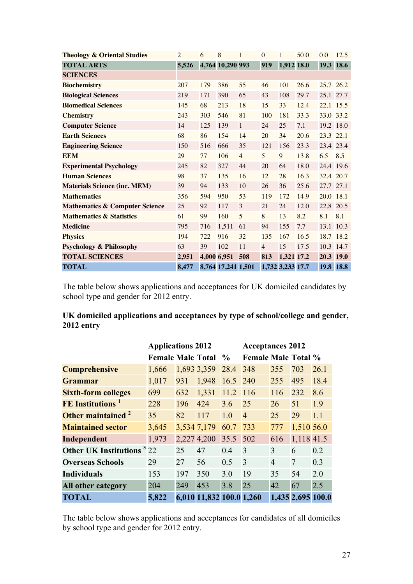| <b>Theology &amp; Oriental Studies</b>    | $\overline{2}$ | 6   | 8                  | 1              | $\overline{0}$ | 1                | 50.0 | 0.0       | 12.5 |
|-------------------------------------------|----------------|-----|--------------------|----------------|----------------|------------------|------|-----------|------|
| <b>TOTAL ARTS</b>                         | 5,526          |     | 4,764 10,290 993   |                | 919            | 1,912 18.0       |      | 19.3      | 18.6 |
| <b>SCIENCES</b>                           |                |     |                    |                |                |                  |      |           |      |
| <b>Biochemistry</b>                       | 207            | 179 | 386                | 55             | 46             | 101              | 26.6 | 25.7 26.2 |      |
| <b>Biological Sciences</b>                | 219            | 171 | 390                | 65             | 43             | 108              | 29.7 | 25.1 27.7 |      |
| <b>Biomedical Sciences</b>                | 145            | 68  | 213                | 18             | 15             | 33               | 12.4 | 22.1 15.5 |      |
| <b>Chemistry</b>                          | 243            | 303 | 546                | 81             | 100            | 181              | 33.3 | 33.0 33.2 |      |
| <b>Computer Science</b>                   | 14             | 125 | 139                | $\mathbf{1}$   | 24             | 25               | 7.1  | 19.2 18.0 |      |
| <b>Earth Sciences</b>                     | 68             | 86  | 154                | 14             | 20             | 34               | 20.6 | 23.3 22.1 |      |
| <b>Engineering Science</b>                | 150            | 516 | 666                | 35             | 121            | 156              | 23.3 | 23.4 23.4 |      |
| <b>EEM</b>                                | 29             | 77  | 106                | $\overline{4}$ | 5              | 9                | 13.8 | 6.5       | 8.5  |
| <b>Experimental Psychology</b>            | 245            | 82  | 327                | 44             | 20             | 64               | 18.0 | 24.4 19.6 |      |
| <b>Human Sciences</b>                     | 98             | 37  | 135                | 16             | 12             | 28               | 16.3 | 32.4 20.7 |      |
| <b>Materials Science (inc. MEM)</b>       | 39             | 94  | 133                | 10             | 26             | 36               | 25.6 | 27.7 27.1 |      |
| <b>Mathematics</b>                        | 356            | 594 | 950                | 53             | 119            | 172              | 14.9 | 20.0 18.1 |      |
| <b>Mathematics &amp; Computer Science</b> | 25             | 92  | 117                | 3              | 21             | 24               | 12.0 | 22.8 20.5 |      |
| <b>Mathematics &amp; Statistics</b>       | 61             | 99  | 160                | 5              | 8              | 13               | 8.2  | 8.1       | 8.1  |
| <b>Medicine</b>                           | 795            | 716 | 1,511              | 61             | 94             | 155              | 7.7  | 13.1 10.3 |      |
| <b>Physics</b>                            | 194            | 722 | 916                | 32             | 135            | 167              | 16.5 | 18.7      | 18.2 |
| <b>Psychology &amp; Philosophy</b>        | 63             | 39  | 102                | 11             | $\overline{4}$ | 15               | 17.5 | 10.3 14.7 |      |
| <b>TOTAL SCIENCES</b>                     | 2,951          |     | 4,000 6,951        | 508            | 813            | 1,321 17.2       |      | 20.3 19.0 |      |
| <b>TOTAL</b>                              | 8,477          |     | 8,764 17,241 1,501 |                |                | 1,732 3,233 17.7 |      | 19.8 18.8 |      |

The table below shows applications and acceptances for UK domiciled candidates by school type and gender for 2012 entry.

| UK domiciled applications and acceptances by type of school/college and gender, |  |
|---------------------------------------------------------------------------------|--|
| 2012 entry                                                                      |  |

|                                              | <b>Applications 2012</b> |     |                          |               | <b>Acceptances 2012</b>    |                |                   |      |
|----------------------------------------------|--------------------------|-----|--------------------------|---------------|----------------------------|----------------|-------------------|------|
|                                              | <b>Female Male Total</b> |     |                          | $\frac{6}{9}$ | <b>Female Male Total %</b> |                |                   |      |
| <b>Comprehensive</b>                         | 1,666                    |     | 1,693 3,359              | 28.4          | 348                        | 355            | 703               | 26.1 |
| <b>Grammar</b>                               | 1,017                    | 931 | 1,948                    | 16.5          | 240                        | 255            | 495               | 18.4 |
| <b>Sixth-form colleges</b>                   | 699                      | 632 | 1,331                    | 11.2          | 116                        | 116            | 232               | 8.6  |
| <b>FE</b> Institutions <sup>1</sup>          | 228                      | 196 | 424                      | 3.6           | 25                         | 26             | 51                | 1.9  |
| Other maintained <sup>2</sup>                | 35                       | 82  | 117                      | 1.0           | $\overline{4}$             | 25             | 29                | 1.1  |
| <b>Maintained sector</b>                     | 3,645                    |     | 3,534 7,179              | 60.7          | 733                        | 777            | 1,510 56.0        |      |
| Independent                                  | 1,973                    |     | 2,227 4,200              | 35.5          | 502                        | 616            | 1,118 41.5        |      |
| <b>Other UK Institutions</b> <sup>3</sup> 22 |                          | 25  | 47                       | 0.4           | 3                          | 3              | 6                 | 0.2  |
| <b>Overseas Schools</b>                      | 29                       | 27  | 56                       | 0.5           | 3                          | $\overline{4}$ | 7                 | 0.3  |
| <b>Individuals</b>                           | 153                      | 197 | 350                      | 3.0           | 19                         | 35             | 54                | 2.0  |
| <b>All other category</b>                    | 204                      | 249 | 453                      | 3.8           | 25                         | 42             | 67                | 2.5  |
| <b>TOTAL</b>                                 | 5,822                    |     | 6,010 11,832 100.0 1,260 |               |                            |                | 1,435 2,695 100.0 |      |

The table below shows applications and acceptances for candidates of all domiciles by school type and gender for 2012 entry.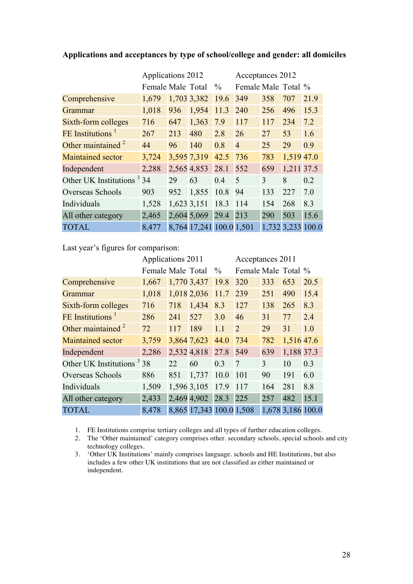|                                       | Applications 2012 |             |                          | Acceptances 2012 |                     |     |            |                   |
|---------------------------------------|-------------------|-------------|--------------------------|------------------|---------------------|-----|------------|-------------------|
|                                       | Female Male Total |             |                          | $\frac{0}{0}$    | Female Male Total % |     |            |                   |
| Comprehensive                         | 1,679             |             | 1,703 3,382              | 19.6             | 349                 | 358 | 707        | 21.9              |
| Grammar                               | 1,018             | 936         | 1,954                    | 11.3             | 240                 | 256 | 496        | 15.3              |
| Sixth-form colleges                   | 716               | 647         | 1,363                    | 7.9              | 117                 | 117 | 234        | 7.2               |
| FE Institutions <sup>1</sup>          | 267               | 213         | 480                      | 2.8              | 26                  | 27  | 53         | 1.6               |
| Other maintained $2$                  | 44                | 96          | 140                      | 0.8              | $\overline{4}$      | 25  | 29         | 0.9               |
| <b>Maintained sector</b>              | 3,724             |             | 3,595 7,319              | 42.5             | 736                 | 783 | 1,519 47.0 |                   |
| Independent                           | 2,288             |             | 2,565 4,853              | 28.1             | 552                 | 659 | 1,211 37.5 |                   |
| Other UK Institutions <sup>3</sup> 34 |                   | 29          | 63                       | 0.4              | 5                   | 3   | 8          | 0.2               |
| Overseas Schools                      | 903               | 952         | 1,855                    | 10.8             | 94                  | 133 | 227        | 7.0               |
| Individuals                           | 1,528             | 1,623 3,151 |                          | 18.3             | 114                 | 154 | 268        | 8.3               |
| All other category                    | 2,465             |             | 2,604 5,069              | 29.4             | 213                 | 290 | 503        | 15.6              |
| <b>TOTAL</b>                          | 8,477             |             | 8,764 17,241 100.0 1,501 |                  |                     |     |            | 1,732 3,233 100.0 |

#### **Applications and acceptances by type of school/college and gender: all domiciles**

Last year's figures for comparison:

|                                       | Applications 2011 |     |                          |               | Acceptances 2011    |     |                   |      |
|---------------------------------------|-------------------|-----|--------------------------|---------------|---------------------|-----|-------------------|------|
|                                       | Female Male Total |     |                          | $\frac{0}{0}$ | Female Male Total % |     |                   |      |
| Comprehensive                         | 1,667             |     | 1,770 3,437              | 19.8          | 320                 | 333 | 653               | 20.5 |
| Grammar                               | 1,018             |     | 1,018 2,036              | 11.7          | 239                 | 251 | 490               | 15.4 |
| Sixth-form colleges                   | 716               | 718 | 1,434                    | 8.3           | 127                 | 138 | 265               | 8.3  |
| FE Institutions <sup>1</sup>          | 286               | 241 | 527                      | 3.0           | 46                  | 31  | 77                | 2.4  |
| Other maintained <sup>2</sup>         | 72                | 117 | 189                      | 1.1           | $\overline{2}$      | 29  | 31                | 1.0  |
| <b>Maintained sector</b>              | 3,759             |     | 3,864 7,623              | 44.0          | 734                 | 782 | 1,516 47.6        |      |
| Independent                           | 2,286             |     | 2,532 4,818              | 27.8          | 549                 | 639 | 1,188 37.3        |      |
| Other UK Institutions <sup>3</sup> 38 |                   | 22  | 60                       | 0.3           | 7                   | 3   | 10                | 0.3  |
| Overseas Schools                      | 886               | 851 | 1,737                    | 10.0          | 101                 | 90  | 191               | 6.0  |
| Individuals                           | 1,509             |     | 1,596 3,105              | 17.9          | 117                 | 164 | 281               | 8.8  |
| All other category                    | 2,433             |     | 2,469 4,902 28.3         |               | 225                 | 257 | 482               | 15.1 |
| <b>TOTAL</b>                          | 8,478             |     | 8,865 17,343 100.0 1,508 |               |                     |     | 1,678 3,186 100.0 |      |

1. FE Institutions comprise tertiary colleges and all types of further education colleges.

2. The 'Other maintained' category comprises other. secondary schools, special schools and city technology colleges.

3. 'Other UK Institutions' mainly comprises language. schools and HE Institutions, but also includes a few other UK institutions that are not classified as either maintained or independent.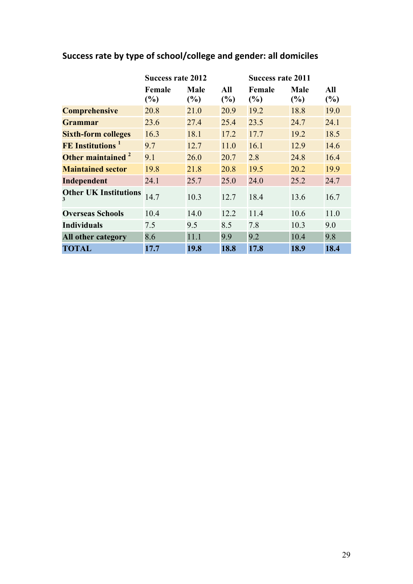|                                     | <b>Success rate 2012</b> |                    |               | <b>Success rate 2011</b> |                    |            |  |
|-------------------------------------|--------------------------|--------------------|---------------|--------------------------|--------------------|------------|--|
|                                     | Female<br>$(\%)$         | <b>Male</b><br>(%) | All<br>$(\%)$ | Female<br>(%)            | <b>Male</b><br>(%) | All<br>(%) |  |
| <b>Comprehensive</b>                | 20.8                     | 21.0               | 20.9          | 19.2                     | 18.8               | 19.0       |  |
| <b>Grammar</b>                      | 23.6                     | 27.4               | 25.4          | 23.5                     | 24.7               | 24.1       |  |
| <b>Sixth-form colleges</b>          | 16.3                     | 18.1               | 17.2          | 17.7                     | 19.2               | 18.5       |  |
| <b>FE</b> Institutions <sup>1</sup> | 9.7                      | 12.7               | 11.0          | 16.1                     | 12.9               | 14.6       |  |
| Other maintained <sup>2</sup>       | 9.1                      | 26.0               | 20.7          | 2.8                      | 24.8               | 16.4       |  |
| <b>Maintained sector</b>            | 19.8                     | 21.8               | 20.8          | 19.5                     | 20.2               | 19.9       |  |
| Independent                         | 24.1                     | 25.7               | 25.0          | 24.0                     | 25.2               | 24.7       |  |
| <b>Other UK Institutions</b><br>3   | 14.7                     | 10.3               | 12.7          | 18.4                     | 13.6               | 16.7       |  |
| <b>Overseas Schools</b>             | 10.4                     | 14.0               | 12.2          | 11.4                     | 10.6               | 11.0       |  |
| <b>Individuals</b>                  | 7.5                      | 9.5                | 8.5           | 7.8                      | 10.3               | 9.0        |  |
| <b>All other category</b>           | 8.6                      | 11.1               | 9.9           | 9.2                      | 10.4               | 9.8        |  |
| <b>TOTAL</b>                        | 17.7                     | 19.8               | 18.8          | 17.8                     | 18.9               | 18.4       |  |

# Success rate by type of school/college and gender: all domiciles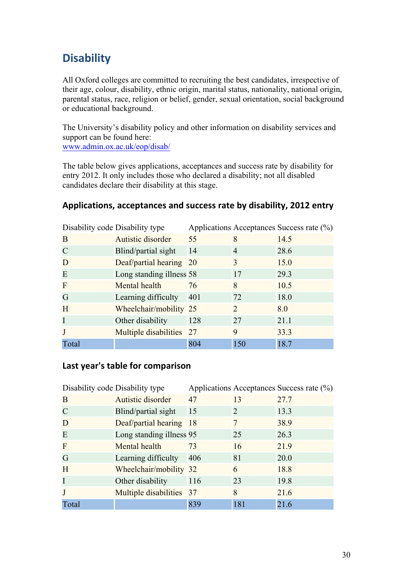# **Disability**

All Oxford colleges are committed to recruiting the best candidates, irrespective of their age, colour, disability, ethnic origin, marital status, nationality, national origin, parental status, race, religion or belief, gender, sexual orientation, social background or educational background.

The University's disability policy and other information on disability services and support can be found here: www.admin.ox.ac.uk/eop/disab/

The table below gives applications, acceptances and success rate by disability for entry 2012. It only includes those who declared a disability; not all disabled candidates declare their disability at this stage.

### Applications, acceptances and success rate by disability, 2012 entry

|                | Disability code Disability type |     |                       | Applications Acceptances Success rate (%) |
|----------------|---------------------------------|-----|-----------------------|-------------------------------------------|
| B              | Autistic disorder               | 55  | 8                     | 14.5                                      |
| $\mathcal{C}$  | Blind/partial sight             | 14  | $\overline{4}$        | 28.6                                      |
| D              | Deaf/partial hearing 20         |     | 3                     | 15.0                                      |
| E              | Long standing illness 58        |     | 17                    | 29.3                                      |
| $\overline{F}$ | Mental health                   | 76  | 8                     | 10.5                                      |
| G              | Learning difficulty             | 401 | 72                    | 18.0                                      |
| H              | Wheelchair/mobility 25          |     | $\mathcal{D}_{\cdot}$ | 8.0                                       |
| I              | Other disability                | 128 | 27                    | 21.1                                      |
| J              | Multiple disabilities 27        |     | 9                     | 33.3                                      |
| Total          |                                 | 804 | 150                   | 18.7                                      |

### Last year's table for comparison

|              | Disability code Disability type |     |                       | Applications Acceptances Success rate (%) |
|--------------|---------------------------------|-----|-----------------------|-------------------------------------------|
| B            | Autistic disorder               | 47  | 13                    | 27.7                                      |
| $\mathsf{C}$ | Blind/partial sight             | 15  | $\mathcal{D}_{\cdot}$ | 13.3                                      |
| D            | Deaf/partial hearing 18         |     |                       | 38.9                                      |
| E            | Long standing illness 95        |     | 25                    | 26.3                                      |
| F            | Mental health                   | 73  | 16                    | 21.9                                      |
| G            | Learning difficulty             | 406 | 81                    | 20.0                                      |
| H            | Wheelchair/mobility 32          |     | 6                     | 18.8                                      |
| I            | Other disability                | 116 | 23                    | 19.8                                      |
| J            | Multiple disabilities 37        |     | 8                     | 21.6                                      |
| Total        |                                 | 839 | 181                   | 21.6                                      |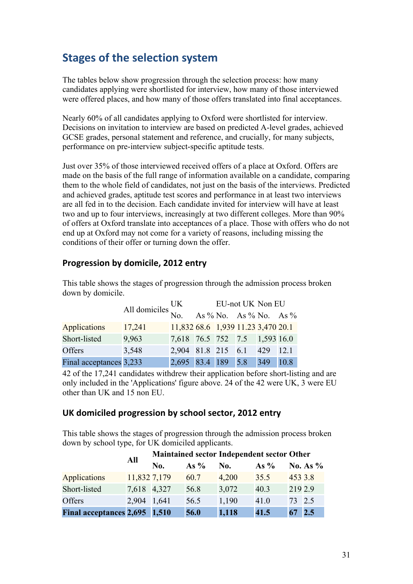# **Stages of the selection system**

The tables below show progression through the selection process: how many candidates applying were shortlisted for interview, how many of those interviewed were offered places, and how many of those offers translated into final acceptances.

Nearly 60% of all candidates applying to Oxford were shortlisted for interview. Decisions on invitation to interview are based on predicted A-level grades, achieved GCSE grades, personal statement and reference, and crucially, for many subjects, performance on pre-interview subject-specific aptitude tests.

Just over 35% of those interviewed received offers of a place at Oxford. Offers are made on the basis of the full range of information available on a candidate, comparing them to the whole field of candidates, not just on the basis of the interviews. Predicted and achieved grades, aptitude test scores and performance in at least two interviews are all fed in to the decision. Each candidate invited for interview will have at least two and up to four interviews, increasingly at two different colleges. More than 90% of offers at Oxford translate into acceptances of a place. Those with offers who do not end up at Oxford may not come for a variety of reasons, including missing the conditions of their offer or turning down the offer.

### **Progression by domicile, 2012 entry**

|                         | All domiciles $\frac{UK}{No}$ EU-not UK Non EU<br>No. As % No. As % No. As % |                                    |  |     |      |
|-------------------------|------------------------------------------------------------------------------|------------------------------------|--|-----|------|
| <b>Applications</b>     | 17,241                                                                       | 11,832 68.6 1,939 11.23 3,470 20.1 |  |     |      |
| Short-listed            | 9,963                                                                        | 7,618 76.5 752 7.5 1,593 16.0      |  |     |      |
| <b>Offers</b>           | 3,548                                                                        | 2,904 81.8 215 6.1 429 12.1        |  |     |      |
| Final acceptances 3,233 |                                                                              | 2,695 83.4 189 5.8                 |  | 349 | 10.8 |

This table shows the stages of progression through the admission process broken down by domicile.

42 of the 17,241 candidates withdrew their application before short-listing and are only included in the 'Applications' figure above. 24 of the 42 were UK, 3 were EU other than UK and 15 non EU.

### UK domiciled progression by school sector, 2012 entry

This table shows the stages of progression through the admission process broken down by school type, for UK domiciled applicants.

|                               | All          | Maintained sector Independent sector Other |        |       |        |         |             |  |
|-------------------------------|--------------|--------------------------------------------|--------|-------|--------|---------|-------------|--|
|                               |              | No.                                        | As $%$ | No.   | As $%$ |         | No. As $\%$ |  |
| <b>Applications</b>           | 11,832 7,179 |                                            | 60.7   | 4,200 | 35.5   | 453 3.8 |             |  |
| Short-listed                  | 7,618 4,327  |                                            | 56.8   | 3,072 | 40.3   | 219 2.9 |             |  |
| <b>Offers</b>                 | 2,904 1,641  |                                            | 56.5   | 1,190 | 41.0   | 73 2.5  |             |  |
| Final acceptances 2,695 1,510 |              |                                            | 56.0   | 1,118 | 41.5   | 67      | 2.5         |  |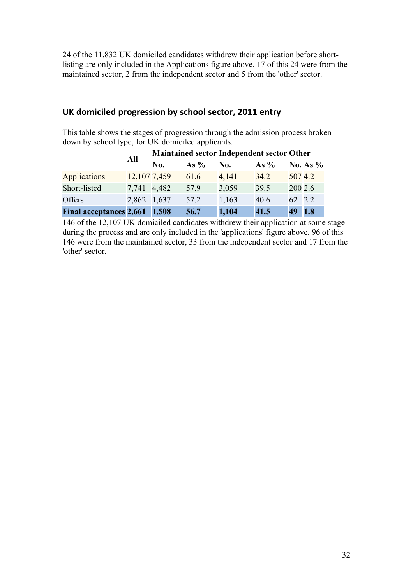24 of the 11,832 UK domiciled candidates withdrew their application before shortlisting are only included in the Applications figure above. 17 of this 24 were from the maintained sector, 2 from the independent sector and 5 from the 'other' sector.

### UK domiciled progression by school sector, 2011 entry

This table shows the stages of progression through the admission process broken down by school type, for UK domiciled applicants.

|                               | All          | Maintained sector Independent sector Other |        |       |        |         |            |  |
|-------------------------------|--------------|--------------------------------------------|--------|-------|--------|---------|------------|--|
|                               |              | No.                                        | As $%$ | No.   | As $%$ |         | No. As $%$ |  |
| <b>Applications</b>           | 12,107 7,459 |                                            | 61.6   | 4,141 | 34.2   | 5074.2  |            |  |
| Short-listed                  | 7,741 4,482  |                                            | 57.9   | 3,059 | 39.5   | 200 2.6 |            |  |
| Offers                        | 2,862 1,637  |                                            | 57.2   | 1,163 | 40.6   | 62 2.2  |            |  |
| Final acceptances 2,661 1,508 |              |                                            | 56.7   | 1,104 | 41.5   | 49      | 1.8        |  |

146 of the 12,107 UK domiciled candidates withdrew their application at some stage during the process and are only included in the 'applications' figure above. 96 of this 146 were from the maintained sector, 33 from the independent sector and 17 from the 'other' sector.